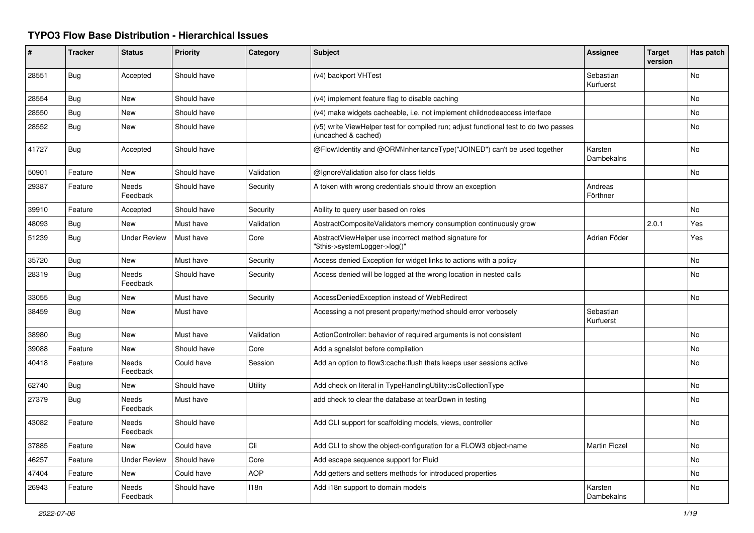## **TYPO3 Flow Base Distribution - Hierarchical Issues**

| ∦     | <b>Tracker</b> | <b>Status</b>            | <b>Priority</b> | Category   | <b>Subject</b>                                                                                              | <b>Assignee</b>        | <b>Target</b><br>version | Has patch      |
|-------|----------------|--------------------------|-----------------|------------|-------------------------------------------------------------------------------------------------------------|------------------------|--------------------------|----------------|
| 28551 | <b>Bug</b>     | Accepted                 | Should have     |            | (v4) backport VHTest                                                                                        | Sebastian<br>Kurfuerst |                          | No             |
| 28554 | <b>Bug</b>     | New                      | Should have     |            | (v4) implement feature flag to disable caching                                                              |                        |                          | No             |
| 28550 | Bug            | New                      | Should have     |            | (v4) make widgets cacheable, i.e. not implement childnodeaccess interface                                   |                        |                          | No             |
| 28552 | Bug            | New                      | Should have     |            | (v5) write ViewHelper test for compiled run; adjust functional test to do two passes<br>(uncached & cached) |                        |                          | No             |
| 41727 | <b>Bug</b>     | Accepted                 | Should have     |            | @Flow\Identity and @ORM\InheritanceType("JOINED") can't be used together                                    | Karsten<br>Dambekalns  |                          | <b>No</b>      |
| 50901 | Feature        | New                      | Should have     | Validation | @IgnoreValidation also for class fields                                                                     |                        |                          | No             |
| 29387 | Feature        | Needs<br>Feedback        | Should have     | Security   | A token with wrong credentials should throw an exception                                                    | Andreas<br>Förthner    |                          |                |
| 39910 | Feature        | Accepted                 | Should have     | Security   | Ability to query user based on roles                                                                        |                        |                          | No             |
| 48093 | <b>Bug</b>     | New                      | Must have       | Validation | AbstractCompositeValidators memory consumption continuously grow                                            |                        | 2.0.1                    | Yes            |
| 51239 | Bug            | <b>Under Review</b>      | Must have       | Core       | AbstractViewHelper use incorrect method signature for<br>"\$this->systemLogger->log()"                      | Adrian Föder           |                          | Yes            |
| 35720 | Bug            | New                      | Must have       | Security   | Access denied Exception for widget links to actions with a policy                                           |                        |                          | No             |
| 28319 | <b>Bug</b>     | <b>Needs</b><br>Feedback | Should have     | Security   | Access denied will be logged at the wrong location in nested calls                                          |                        |                          | <b>No</b>      |
| 33055 | <b>Bug</b>     | New                      | Must have       | Security   | AccessDeniedException instead of WebRedirect                                                                |                        |                          | No             |
| 38459 | <b>Bug</b>     | <b>New</b>               | Must have       |            | Accessing a not present property/method should error verbosely                                              | Sebastian<br>Kurfuerst |                          |                |
| 38980 | <b>Bug</b>     | New                      | Must have       | Validation | ActionController: behavior of required arguments is not consistent                                          |                        |                          | No             |
| 39088 | Feature        | <b>New</b>               | Should have     | Core       | Add a sgnalslot before compilation                                                                          |                        |                          | N <sub>o</sub> |
| 40418 | Feature        | <b>Needs</b><br>Feedback | Could have      | Session    | Add an option to flow3:cache: flush thats keeps user sessions active                                        |                        |                          | N <sub>o</sub> |
| 62740 | <b>Bug</b>     | <b>New</b>               | Should have     | Utility    | Add check on literal in TypeHandlingUtility::isCollectionType                                               |                        |                          | No             |
| 27379 | <b>Bug</b>     | <b>Needs</b><br>Feedback | Must have       |            | add check to clear the database at tearDown in testing                                                      |                        |                          | N <sub>o</sub> |
| 43082 | Feature        | <b>Needs</b><br>Feedback | Should have     |            | Add CLI support for scaffolding models, views, controller                                                   |                        |                          | No             |
| 37885 | Feature        | <b>New</b>               | Could have      | Cli        | Add CLI to show the object-configuration for a FLOW3 object-name                                            | <b>Martin Ficzel</b>   |                          | N <sub>o</sub> |
| 46257 | Feature        | <b>Under Review</b>      | Should have     | Core       | Add escape sequence support for Fluid                                                                       |                        |                          | N <sub>o</sub> |
| 47404 | Feature        | New                      | Could have      | AOP        | Add getters and setters methods for introduced properties                                                   |                        |                          | No             |
| 26943 | Feature        | Needs<br>Feedback        | Should have     | 118n       | Add i18n support to domain models                                                                           | Karsten<br>Dambekalns  |                          | No             |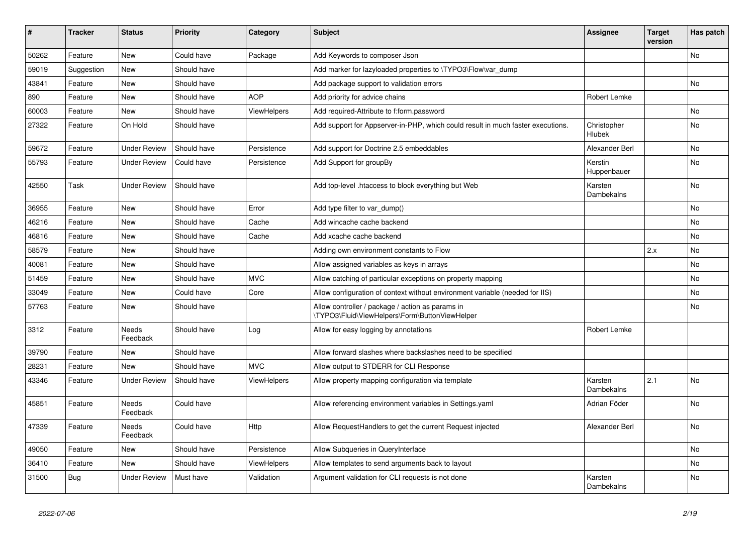| #     | <b>Tracker</b> | <b>Status</b>       | <b>Priority</b> | Category           | <b>Subject</b>                                                                                     | Assignee                     | <b>Target</b><br>version | Has patch      |
|-------|----------------|---------------------|-----------------|--------------------|----------------------------------------------------------------------------------------------------|------------------------------|--------------------------|----------------|
| 50262 | Feature        | <b>New</b>          | Could have      | Package            | Add Keywords to composer Json                                                                      |                              |                          | <b>No</b>      |
| 59019 | Suggestion     | New                 | Should have     |                    | Add marker for lazyloaded properties to \TYPO3\Flow\var_dump                                       |                              |                          |                |
| 43841 | Feature        | New                 | Should have     |                    | Add package support to validation errors                                                           |                              |                          | <b>No</b>      |
| 890   | Feature        | <b>New</b>          | Should have     | <b>AOP</b>         | Add priority for advice chains                                                                     | Robert Lemke                 |                          |                |
| 60003 | Feature        | New                 | Should have     | ViewHelpers        | Add required-Attribute to f:form.password                                                          |                              |                          | N <sub>o</sub> |
| 27322 | Feature        | On Hold             | Should have     |                    | Add support for Appserver-in-PHP, which could result in much faster executions.                    | Christopher<br><b>Hlubek</b> |                          | <b>No</b>      |
| 59672 | Feature        | <b>Under Review</b> | Should have     | Persistence        | Add support for Doctrine 2.5 embeddables                                                           | Alexander Berl               |                          | No             |
| 55793 | Feature        | <b>Under Review</b> | Could have      | Persistence        | Add Support for groupBy                                                                            | Kerstin<br>Huppenbauer       |                          | No             |
| 42550 | Task           | <b>Under Review</b> | Should have     |                    | Add top-level .htaccess to block everything but Web                                                | Karsten<br>Dambekalns        |                          | No             |
| 36955 | Feature        | New                 | Should have     | Error              | Add type filter to var_dump()                                                                      |                              |                          | No             |
| 46216 | Feature        | <b>New</b>          | Should have     | Cache              | Add wincache cache backend                                                                         |                              |                          | <b>No</b>      |
| 46816 | Feature        | <b>New</b>          | Should have     | Cache              | Add xcache cache backend                                                                           |                              |                          | No             |
| 58579 | Feature        | <b>New</b>          | Should have     |                    | Adding own environment constants to Flow                                                           |                              | 2.x                      | No             |
| 40081 | Feature        | <b>New</b>          | Should have     |                    | Allow assigned variables as keys in arrays                                                         |                              |                          | No             |
| 51459 | Feature        | <b>New</b>          | Should have     | <b>MVC</b>         | Allow catching of particular exceptions on property mapping                                        |                              |                          | <b>No</b>      |
| 33049 | Feature        | <b>New</b>          | Could have      | Core               | Allow configuration of context without environment variable (needed for IIS)                       |                              |                          | No             |
| 57763 | Feature        | New                 | Should have     |                    | Allow controller / package / action as params in<br>\TYPO3\Fluid\ViewHelpers\Form\ButtonViewHelper |                              |                          | <b>No</b>      |
| 3312  | Feature        | Needs<br>Feedback   | Should have     | Log                | Allow for easy logging by annotations                                                              | Robert Lemke                 |                          |                |
| 39790 | Feature        | <b>New</b>          | Should have     |                    | Allow forward slashes where backslashes need to be specified                                       |                              |                          |                |
| 28231 | Feature        | <b>New</b>          | Should have     | <b>MVC</b>         | Allow output to STDERR for CLI Response                                                            |                              |                          |                |
| 43346 | Feature        | <b>Under Review</b> | Should have     | <b>ViewHelpers</b> | Allow property mapping configuration via template                                                  | Karsten<br><b>Dambekalns</b> | 2.1                      | <b>No</b>      |
| 45851 | Feature        | Needs<br>Feedback   | Could have      |                    | Allow referencing environment variables in Settings.yaml                                           | Adrian Föder                 |                          | No             |
| 47339 | Feature        | Needs<br>Feedback   | Could have      | Http               | Allow RequestHandlers to get the current Request injected                                          | Alexander Berl               |                          | No             |
| 49050 | Feature        | <b>New</b>          | Should have     | Persistence        | Allow Subqueries in QueryInterface                                                                 |                              |                          | <b>No</b>      |
| 36410 | Feature        | New                 | Should have     | ViewHelpers        | Allow templates to send arguments back to layout                                                   |                              |                          | No             |
| 31500 | Bug            | <b>Under Review</b> | Must have       | Validation         | Argument validation for CLI requests is not done                                                   | Karsten<br>Dambekalns        |                          | No             |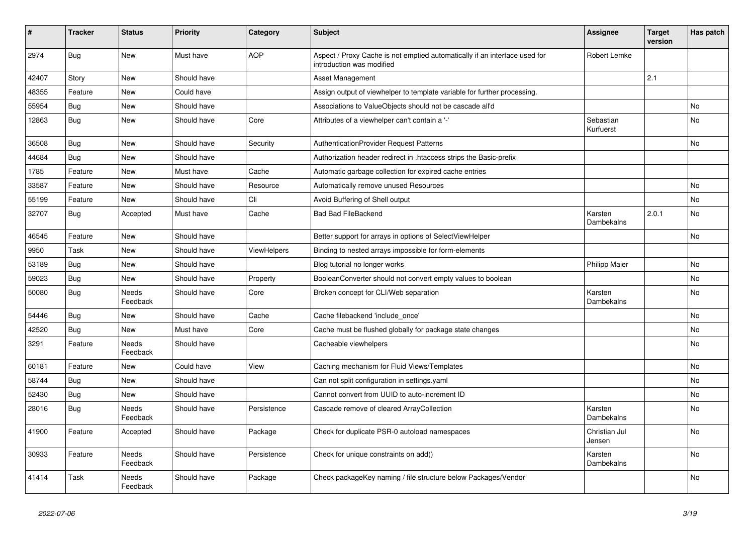| ∦     | <b>Tracker</b> | <b>Status</b>            | <b>Priority</b> | Category           | <b>Subject</b>                                                                                          | <b>Assignee</b>         | <b>Target</b><br>version | Has patch |
|-------|----------------|--------------------------|-----------------|--------------------|---------------------------------------------------------------------------------------------------------|-------------------------|--------------------------|-----------|
| 2974  | <b>Bug</b>     | New                      | Must have       | <b>AOP</b>         | Aspect / Proxy Cache is not emptied automatically if an interface used for<br>introduction was modified | Robert Lemke            |                          |           |
| 42407 | Story          | New                      | Should have     |                    | <b>Asset Management</b>                                                                                 |                         | 2.1                      |           |
| 48355 | Feature        | New                      | Could have      |                    | Assign output of viewhelper to template variable for further processing.                                |                         |                          |           |
| 55954 | Bug            | New                      | Should have     |                    | Associations to ValueObjects should not be cascade all'd                                                |                         |                          | <b>No</b> |
| 12863 | <b>Bug</b>     | <b>New</b>               | Should have     | Core               | Attributes of a viewhelper can't contain a '-'                                                          | Sebastian<br>Kurfuerst  |                          | No.       |
| 36508 | Bug            | New                      | Should have     | Security           | <b>AuthenticationProvider Request Patterns</b>                                                          |                         |                          | <b>No</b> |
| 44684 | <b>Bug</b>     | New                      | Should have     |                    | Authorization header redirect in .htaccess strips the Basic-prefix                                      |                         |                          |           |
| 1785  | Feature        | New                      | Must have       | Cache              | Automatic garbage collection for expired cache entries                                                  |                         |                          |           |
| 33587 | Feature        | New                      | Should have     | Resource           | Automatically remove unused Resources                                                                   |                         |                          | No        |
| 55199 | Feature        | New                      | Should have     | Cli                | Avoid Buffering of Shell output                                                                         |                         |                          | No        |
| 32707 | <b>Bug</b>     | Accepted                 | Must have       | Cache              | <b>Bad Bad FileBackend</b>                                                                              | Karsten<br>Dambekalns   | 2.0.1                    | No        |
| 46545 | Feature        | <b>New</b>               | Should have     |                    | Better support for arrays in options of SelectViewHelper                                                |                         |                          | <b>No</b> |
| 9950  | Task           | New                      | Should have     | <b>ViewHelpers</b> | Binding to nested arrays impossible for form-elements                                                   |                         |                          |           |
| 53189 | <b>Bug</b>     | <b>New</b>               | Should have     |                    | Blog tutorial no longer works                                                                           | <b>Philipp Maier</b>    |                          | No        |
| 59023 | <b>Bug</b>     | <b>New</b>               | Should have     | Property           | BooleanConverter should not convert empty values to boolean                                             |                         |                          | No        |
| 50080 | <b>Bug</b>     | <b>Needs</b><br>Feedback | Should have     | Core               | Broken concept for CLI/Web separation                                                                   | Karsten<br>Dambekalns   |                          | No        |
| 54446 | <b>Bug</b>     | New                      | Should have     | Cache              | Cache filebackend 'include once'                                                                        |                         |                          | No        |
| 42520 | <b>Bug</b>     | New                      | Must have       | Core               | Cache must be flushed globally for package state changes                                                |                         |                          | No        |
| 3291  | Feature        | Needs<br>Feedback        | Should have     |                    | Cacheable viewhelpers                                                                                   |                         |                          | No        |
| 60181 | Feature        | New                      | Could have      | View               | Caching mechanism for Fluid Views/Templates                                                             |                         |                          | No        |
| 58744 | <b>Bug</b>     | New                      | Should have     |                    | Can not split configuration in settings yaml                                                            |                         |                          | No.       |
| 52430 | Bug            | New                      | Should have     |                    | Cannot convert from UUID to auto-increment ID                                                           |                         |                          | No        |
| 28016 | <b>Bug</b>     | Needs<br>Feedback        | Should have     | Persistence        | Cascade remove of cleared ArrayCollection                                                               | Karsten<br>Dambekalns   |                          | No        |
| 41900 | Feature        | Accepted                 | Should have     | Package            | Check for duplicate PSR-0 autoload namespaces                                                           | Christian Jul<br>Jensen |                          | <b>No</b> |
| 30933 | Feature        | Needs<br>Feedback        | Should have     | Persistence        | Check for unique constraints on add()                                                                   | Karsten<br>Dambekalns   |                          | No        |
| 41414 | Task           | Needs<br>Feedback        | Should have     | Package            | Check packageKey naming / file structure below Packages/Vendor                                          |                         |                          | No        |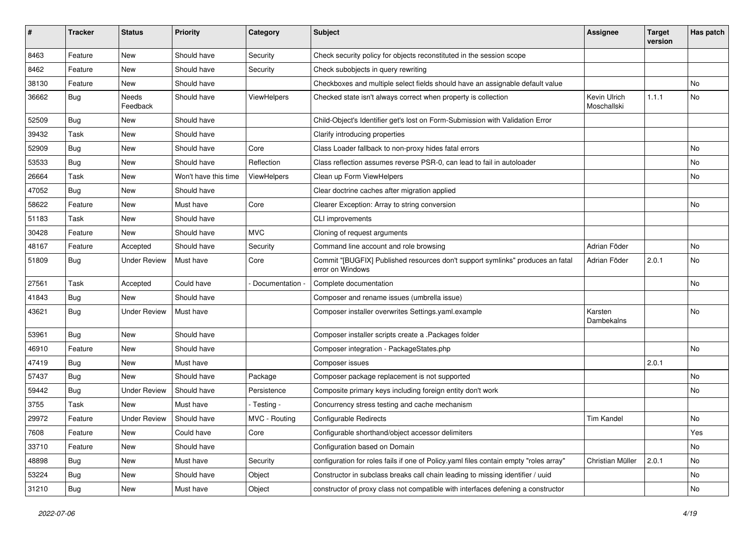| #     | <b>Tracker</b> | <b>Status</b>       | <b>Priority</b>      | <b>Category</b>    | Subject                                                                                            | <b>Assignee</b>             | <b>Target</b><br>version | Has patch |
|-------|----------------|---------------------|----------------------|--------------------|----------------------------------------------------------------------------------------------------|-----------------------------|--------------------------|-----------|
| 8463  | Feature        | New                 | Should have          | Security           | Check security policy for objects reconstituted in the session scope                               |                             |                          |           |
| 8462  | Feature        | New                 | Should have          | Security           | Check subobjects in query rewriting                                                                |                             |                          |           |
| 38130 | Feature        | New                 | Should have          |                    | Checkboxes and multiple select fields should have an assignable default value                      |                             |                          | No        |
| 36662 | <b>Bug</b>     | Needs<br>Feedback   | Should have          | <b>ViewHelpers</b> | Checked state isn't always correct when property is collection                                     | Kevin Ulrich<br>Moschallski | 1.1.1                    | No.       |
| 52509 | Bug            | New                 | Should have          |                    | Child-Object's Identifier get's lost on Form-Submission with Validation Error                      |                             |                          |           |
| 39432 | Task           | New                 | Should have          |                    | Clarify introducing properties                                                                     |                             |                          |           |
| 52909 | <b>Bug</b>     | New                 | Should have          | Core               | Class Loader fallback to non-proxy hides fatal errors                                              |                             |                          | No.       |
| 53533 | <b>Bug</b>     | New                 | Should have          | Reflection         | Class reflection assumes reverse PSR-0, can lead to fail in autoloader                             |                             |                          | No        |
| 26664 | Task           | New                 | Won't have this time | <b>ViewHelpers</b> | Clean up Form ViewHelpers                                                                          |                             |                          | No        |
| 47052 | <b>Bug</b>     | New                 | Should have          |                    | Clear doctrine caches after migration applied                                                      |                             |                          |           |
| 58622 | Feature        | New                 | Must have            | Core               | Clearer Exception: Array to string conversion                                                      |                             |                          | No        |
| 51183 | Task           | New                 | Should have          |                    | CLI improvements                                                                                   |                             |                          |           |
| 30428 | Feature        | New                 | Should have          | <b>MVC</b>         | Cloning of request arguments                                                                       |                             |                          |           |
| 48167 | Feature        | Accepted            | Should have          | Security           | Command line account and role browsing                                                             | Adrian Föder                |                          | No.       |
| 51809 | <b>Bug</b>     | <b>Under Review</b> | Must have            | Core               | Commit "[BUGFIX] Published resources don't support symlinks" produces an fatal<br>error on Windows | Adrian Föder                | 2.0.1                    | No        |
| 27561 | Task           | Accepted            | Could have           | Documentation -    | Complete documentation                                                                             |                             |                          | No        |
| 41843 | <b>Bug</b>     | New                 | Should have          |                    | Composer and rename issues (umbrella issue)                                                        |                             |                          |           |
| 43621 | <b>Bug</b>     | <b>Under Review</b> | Must have            |                    | Composer installer overwrites Settings.yaml.example                                                | Karsten<br>Dambekalns       |                          | No        |
| 53961 | Bug            | New                 | Should have          |                    | Composer installer scripts create a .Packages folder                                               |                             |                          |           |
| 46910 | Feature        | New                 | Should have          |                    | Composer integration - PackageStates.php                                                           |                             |                          | No.       |
| 47419 | <b>Bug</b>     | New                 | Must have            |                    | Composer issues                                                                                    |                             | 2.0.1                    |           |
| 57437 | Bug            | New                 | Should have          | Package            | Composer package replacement is not supported                                                      |                             |                          | No.       |
| 59442 | <b>Bug</b>     | <b>Under Review</b> | Should have          | Persistence        | Composite primary keys including foreign entity don't work                                         |                             |                          | No        |
| 3755  | Task           | New                 | Must have            | - Testing -        | Concurrency stress testing and cache mechanism                                                     |                             |                          |           |
| 29972 | Feature        | <b>Under Review</b> | Should have          | MVC - Routing      | <b>Configurable Redirects</b>                                                                      | <b>Tim Kandel</b>           |                          | No        |
| 7608  | Feature        | New                 | Could have           | Core               | Configurable shorthand/object accessor delimiters                                                  |                             |                          | Yes       |
| 33710 | Feature        | New                 | Should have          |                    | Configuration based on Domain                                                                      |                             |                          | No        |
| 48898 | Bug            | New                 | Must have            | Security           | configuration for roles fails if one of Policy yaml files contain empty "roles array"              | Christian Müller            | 2.0.1                    | No        |
| 53224 | <b>Bug</b>     | New                 | Should have          | Object             | Constructor in subclass breaks call chain leading to missing identifier / uuid                     |                             |                          | No        |
| 31210 | <b>Bug</b>     | New                 | Must have            | Object             | constructor of proxy class not compatible with interfaces defening a constructor                   |                             |                          | No        |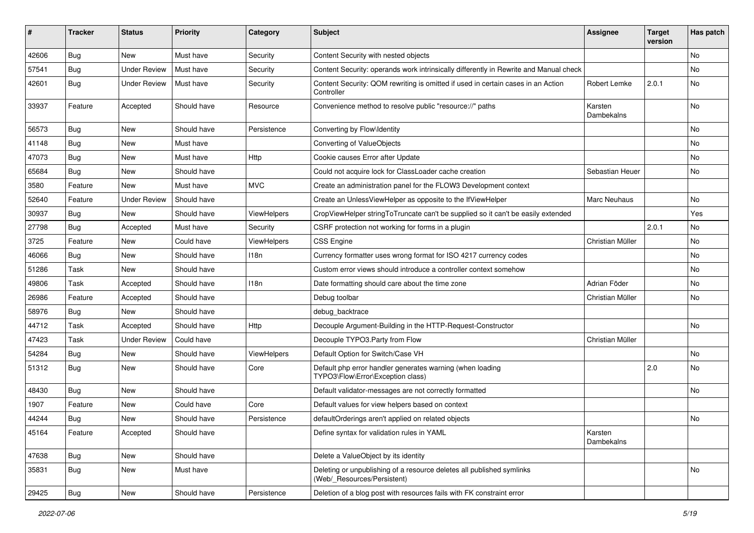| #     | <b>Tracker</b> | <b>Status</b>       | <b>Priority</b> | Category           | Subject                                                                                              | <b>Assignee</b>       | <b>Target</b><br>version | Has patch |
|-------|----------------|---------------------|-----------------|--------------------|------------------------------------------------------------------------------------------------------|-----------------------|--------------------------|-----------|
| 42606 | Bug            | New                 | Must have       | Security           | Content Security with nested objects                                                                 |                       |                          | No        |
| 57541 | <b>Bug</b>     | <b>Under Review</b> | Must have       | Security           | Content Security: operands work intrinsically differently in Rewrite and Manual check                |                       |                          | No        |
| 42601 | <b>Bug</b>     | <b>Under Review</b> | Must have       | Security           | Content Security: QOM rewriting is omitted if used in certain cases in an Action<br>Controller       | Robert Lemke          | 2.0.1                    | No        |
| 33937 | Feature        | Accepted            | Should have     | Resource           | Convenience method to resolve public "resource://" paths                                             | Karsten<br>Dambekalns |                          | No        |
| 56573 | Bug            | <b>New</b>          | Should have     | Persistence        | Converting by Flow\Identity                                                                          |                       |                          | No        |
| 41148 | <b>Bug</b>     | New                 | Must have       |                    | Converting of ValueObjects                                                                           |                       |                          | No        |
| 47073 | <b>Bug</b>     | New                 | Must have       | Http               | Cookie causes Error after Update                                                                     |                       |                          | No.       |
| 65684 | <b>Bug</b>     | New                 | Should have     |                    | Could not acquire lock for ClassLoader cache creation                                                | Sebastian Heuer       |                          | No        |
| 3580  | Feature        | New                 | Must have       | <b>MVC</b>         | Create an administration panel for the FLOW3 Development context                                     |                       |                          |           |
| 52640 | Feature        | <b>Under Review</b> | Should have     |                    | Create an UnlessViewHelper as opposite to the IfViewHelper                                           | <b>Marc Neuhaus</b>   |                          | No        |
| 30937 | Bug            | New                 | Should have     | <b>ViewHelpers</b> | CropViewHelper stringToTruncate can't be supplied so it can't be easily extended                     |                       |                          | Yes       |
| 27798 | <b>Bug</b>     | Accepted            | Must have       | Security           | CSRF protection not working for forms in a plugin                                                    |                       | 2.0.1                    | No        |
| 3725  | Feature        | New                 | Could have      | ViewHelpers        | <b>CSS Engine</b>                                                                                    | Christian Müller      |                          | No        |
| 46066 | <b>Bug</b>     | New                 | Should have     | 118n               | Currency formatter uses wrong format for ISO 4217 currency codes                                     |                       |                          | No.       |
| 51286 | Task           | New                 | Should have     |                    | Custom error views should introduce a controller context somehow                                     |                       |                          | No        |
| 49806 | Task           | Accepted            | Should have     | 118n               | Date formatting should care about the time zone                                                      | Adrian Föder          |                          | No        |
| 26986 | Feature        | Accepted            | Should have     |                    | Debug toolbar                                                                                        | Christian Müller      |                          | No        |
| 58976 | <b>Bug</b>     | New                 | Should have     |                    | debug_backtrace                                                                                      |                       |                          |           |
| 44712 | Task           | Accepted            | Should have     | <b>Http</b>        | Decouple Argument-Building in the HTTP-Request-Constructor                                           |                       |                          | No        |
| 47423 | Task           | <b>Under Review</b> | Could have      |                    | Decouple TYPO3. Party from Flow                                                                      | Christian Müller      |                          |           |
| 54284 | <b>Bug</b>     | New                 | Should have     | ViewHelpers        | Default Option for Switch/Case VH                                                                    |                       |                          | No        |
| 51312 | <b>Bug</b>     | New                 | Should have     | Core               | Default php error handler generates warning (when loading<br>TYPO3\Flow\Error\Exception class)       |                       | 2.0                      | No        |
| 48430 | <b>Bug</b>     | New                 | Should have     |                    | Default validator-messages are not correctly formatted                                               |                       |                          | No        |
| 1907  | Feature        | New                 | Could have      | Core               | Default values for view helpers based on context                                                     |                       |                          |           |
| 44244 | Bug            | New                 | Should have     | Persistence        | defaultOrderings aren't applied on related objects                                                   |                       |                          | No        |
| 45164 | Feature        | Accepted            | Should have     |                    | Define syntax for validation rules in YAML                                                           | Karsten<br>Dambekalns |                          |           |
| 47638 | Bug            | New                 | Should have     |                    | Delete a ValueObject by its identity                                                                 |                       |                          |           |
| 35831 | <b>Bug</b>     | New                 | Must have       |                    | Deleting or unpublishing of a resource deletes all published symlinks<br>(Web/ Resources/Persistent) |                       |                          | No        |
| 29425 | <b>Bug</b>     | New                 | Should have     | Persistence        | Deletion of a blog post with resources fails with FK constraint error                                |                       |                          |           |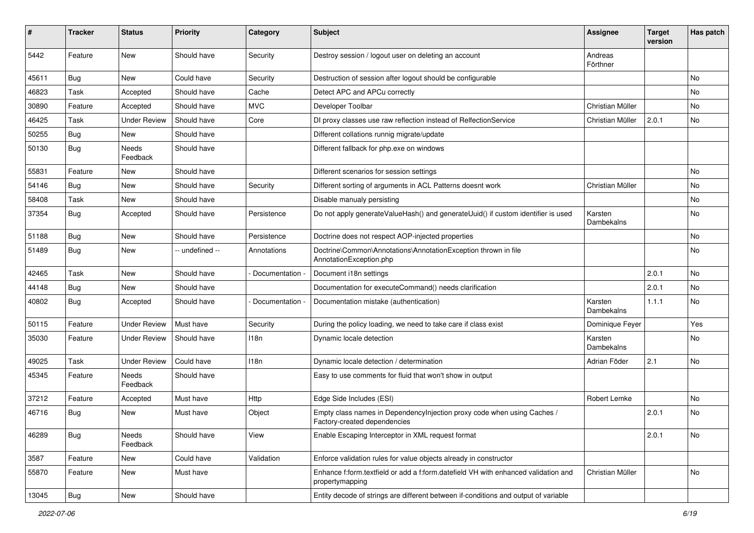| #     | <b>Tracker</b> | <b>Status</b>       | <b>Priority</b> | <b>Category</b> | <b>Subject</b>                                                                                          | <b>Assignee</b>       | <b>Target</b><br>version | Has patch |
|-------|----------------|---------------------|-----------------|-----------------|---------------------------------------------------------------------------------------------------------|-----------------------|--------------------------|-----------|
| 5442  | Feature        | <b>New</b>          | Should have     | Security        | Destroy session / logout user on deleting an account                                                    | Andreas<br>Förthner   |                          |           |
| 45611 | <b>Bug</b>     | <b>New</b>          | Could have      | Security        | Destruction of session after logout should be configurable                                              |                       |                          | No        |
| 46823 | Task           | Accepted            | Should have     | Cache           | Detect APC and APCu correctly                                                                           |                       |                          | No        |
| 30890 | Feature        | Accepted            | Should have     | <b>MVC</b>      | Developer Toolbar                                                                                       | Christian Müller      |                          | No        |
| 46425 | Task           | <b>Under Review</b> | Should have     | Core            | DI proxy classes use raw reflection instead of RelfectionService                                        | Christian Müller      | 2.0.1                    | No        |
| 50255 | Bug            | New                 | Should have     |                 | Different collations runnig migrate/update                                                              |                       |                          |           |
| 50130 | <b>Bug</b>     | Needs<br>Feedback   | Should have     |                 | Different fallback for php.exe on windows                                                               |                       |                          |           |
| 55831 | Feature        | New                 | Should have     |                 | Different scenarios for session settings                                                                |                       |                          | No        |
| 54146 | <b>Bug</b>     | <b>New</b>          | Should have     | Security        | Different sorting of arguments in ACL Patterns doesnt work                                              | Christian Müller      |                          | No        |
| 58408 | Task           | New                 | Should have     |                 | Disable manualy persisting                                                                              |                       |                          | No        |
| 37354 | Bug            | Accepted            | Should have     | Persistence     | Do not apply generateValueHash() and generateUuid() if custom identifier is used                        | Karsten<br>Dambekalns |                          | No        |
| 51188 | <b>Bug</b>     | <b>New</b>          | Should have     | Persistence     | Doctrine does not respect AOP-injected properties                                                       |                       |                          | No        |
| 51489 | <b>Bug</b>     | New                 | -- undefined -- | Annotations     | Doctrine\Common\Annotations\AnnotationException thrown in file<br>AnnotationException.php               |                       |                          | No        |
| 42465 | Task           | New                 | Should have     | Documentation   | Document i18n settings                                                                                  |                       | 2.0.1                    | No        |
| 44148 | <b>Bug</b>     | New                 | Should have     |                 | Documentation for executeCommand() needs clarification                                                  |                       | 2.0.1                    | No        |
| 40802 | <b>Bug</b>     | Accepted            | Should have     | Documentation   | Documentation mistake (authentication)                                                                  | Karsten<br>Dambekalns | 1.1.1                    | No        |
| 50115 | Feature        | <b>Under Review</b> | Must have       | Security        | During the policy loading, we need to take care if class exist                                          | Dominique Feyer       |                          | Yes       |
| 35030 | Feature        | <b>Under Review</b> | Should have     | 118n            | Dynamic locale detection                                                                                | Karsten<br>Dambekalns |                          | No        |
| 49025 | Task           | <b>Under Review</b> | Could have      | 118n            | Dynamic locale detection / determination                                                                | Adrian Föder          | 2.1                      | No        |
| 45345 | Feature        | Needs<br>Feedback   | Should have     |                 | Easy to use comments for fluid that won't show in output                                                |                       |                          |           |
| 37212 | Feature        | Accepted            | Must have       | Http            | Edge Side Includes (ESI)                                                                                | Robert Lemke          |                          | No        |
| 46716 | <b>Bug</b>     | New                 | Must have       | Object          | Empty class names in DependencyInjection proxy code when using Caches /<br>Factory-created dependencies |                       | 2.0.1                    | No        |
| 46289 | <b>Bug</b>     | Needs<br>Feedback   | Should have     | View            | Enable Escaping Interceptor in XML request format                                                       |                       | 2.0.1                    | No        |
| 3587  | Feature        | New                 | Could have      | Validation      | Enforce validation rules for value objects already in constructor                                       |                       |                          |           |
| 55870 | Feature        | New                 | Must have       |                 | Enhance f:form.textfield or add a f:form.datefield VH with enhanced validation and<br>propertymapping   | Christian Müller      |                          | No        |
| 13045 | Bug            | New                 | Should have     |                 | Entity decode of strings are different between if-conditions and output of variable                     |                       |                          |           |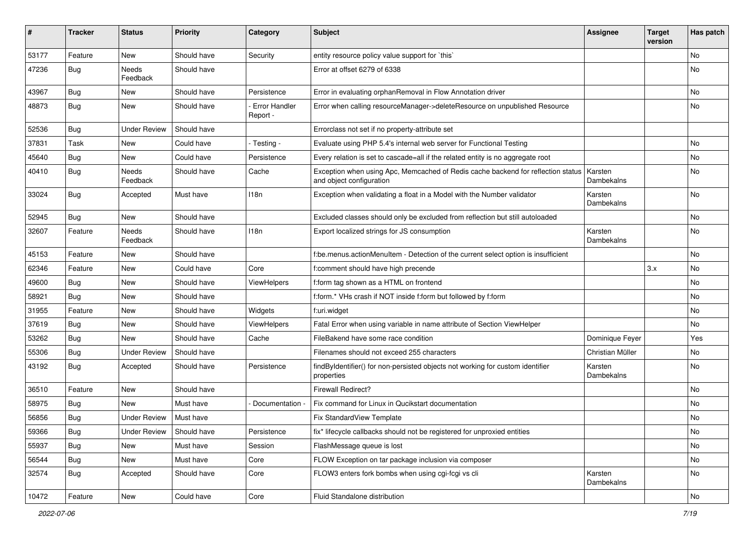| #     | <b>Tracker</b> | <b>Status</b>       | <b>Priority</b> | Category                  | <b>Subject</b>                                                                                               | <b>Assignee</b>       | <b>Target</b><br>version | Has patch |
|-------|----------------|---------------------|-----------------|---------------------------|--------------------------------------------------------------------------------------------------------------|-----------------------|--------------------------|-----------|
| 53177 | Feature        | New                 | Should have     | Security                  | entity resource policy value support for `this`                                                              |                       |                          | No        |
| 47236 | <b>Bug</b>     | Needs<br>Feedback   | Should have     |                           | Error at offset 6279 of 6338                                                                                 |                       |                          | No        |
| 43967 | Bug            | New                 | Should have     | Persistence               | Error in evaluating orphanRemoval in Flow Annotation driver                                                  |                       |                          | No        |
| 48873 | <b>Bug</b>     | New                 | Should have     | Error Handler<br>Report - | Error when calling resourceManager->deleteResource on unpublished Resource                                   |                       |                          | No        |
| 52536 | Bug            | <b>Under Review</b> | Should have     |                           | Errorclass not set if no property-attribute set                                                              |                       |                          |           |
| 37831 | Task           | New                 | Could have      | - Testing -               | Evaluate using PHP 5.4's internal web server for Functional Testing                                          |                       |                          | No        |
| 45640 | Bug            | New                 | Could have      | Persistence               | Every relation is set to cascade=all if the related entity is no aggregate root                              |                       |                          | No        |
| 40410 | <b>Bug</b>     | Needs<br>Feedback   | Should have     | Cache                     | Exception when using Apc, Memcached of Redis cache backend for reflection status<br>and object configuration | Karsten<br>Dambekalns |                          | No        |
| 33024 | Bug            | Accepted            | Must have       | 118n                      | Exception when validating a float in a Model with the Number validator                                       | Karsten<br>Dambekalns |                          | No        |
| 52945 | Bug            | New                 | Should have     |                           | Excluded classes should only be excluded from reflection but still autoloaded                                |                       |                          | No        |
| 32607 | Feature        | Needs<br>Feedback   | Should have     | 118n                      | Export localized strings for JS consumption                                                                  | Karsten<br>Dambekalns |                          | No        |
| 45153 | Feature        | New                 | Should have     |                           | f:be.menus.actionMenuItem - Detection of the current select option is insufficient                           |                       |                          | No.       |
| 62346 | Feature        | New                 | Could have      | Core                      | f:comment should have high precende                                                                          |                       | 3.x                      | No        |
| 49600 | <b>Bug</b>     | New                 | Should have     | ViewHelpers               | f:form tag shown as a HTML on frontend                                                                       |                       |                          | No        |
| 58921 | Bug            | New                 | Should have     |                           | f:form.* VHs crash if NOT inside f:form but followed by f:form                                               |                       |                          | No        |
| 31955 | Feature        | New                 | Should have     | Widgets                   | f:uri.widget                                                                                                 |                       |                          | No        |
| 37619 | Bug            | New                 | Should have     | ViewHelpers               | Fatal Error when using variable in name attribute of Section ViewHelper                                      |                       |                          | No        |
| 53262 | <b>Bug</b>     | New                 | Should have     | Cache                     | FileBakend have some race condition                                                                          | Dominique Feyer       |                          | Yes       |
| 55306 | <b>Bug</b>     | <b>Under Review</b> | Should have     |                           | Filenames should not exceed 255 characters                                                                   | Christian Müller      |                          | No        |
| 43192 | Bug            | Accepted            | Should have     | Persistence               | findByIdentifier() for non-persisted objects not working for custom identifier<br>properties                 | Karsten<br>Dambekalns |                          | No        |
| 36510 | Feature        | New                 | Should have     |                           | <b>Firewall Redirect?</b>                                                                                    |                       |                          | No        |
| 58975 | <b>Bug</b>     | New                 | Must have       | Documentation             | Fix command for Linux in Qucikstart documentation                                                            |                       |                          | No        |
| 56856 | <b>Bug</b>     | <b>Under Review</b> | Must have       |                           | Fix StandardView Template                                                                                    |                       |                          | No        |
| 59366 | <b>Bug</b>     | <b>Under Review</b> | Should have     | Persistence               | fix* lifecycle callbacks should not be registered for unproxied entities                                     |                       |                          | No        |
| 55937 | Bug            | New                 | Must have       | Session                   | FlashMessage queue is lost                                                                                   |                       |                          | No        |
| 56544 | Bug            | New                 | Must have       | Core                      | FLOW Exception on tar package inclusion via composer                                                         |                       |                          | No        |
| 32574 | Bug            | Accepted            | Should have     | Core                      | FLOW3 enters fork bombs when using cgi-fcgi vs cli                                                           | Karsten<br>Dambekalns |                          | No        |
| 10472 | Feature        | New                 | Could have      | Core                      | Fluid Standalone distribution                                                                                |                       |                          | No        |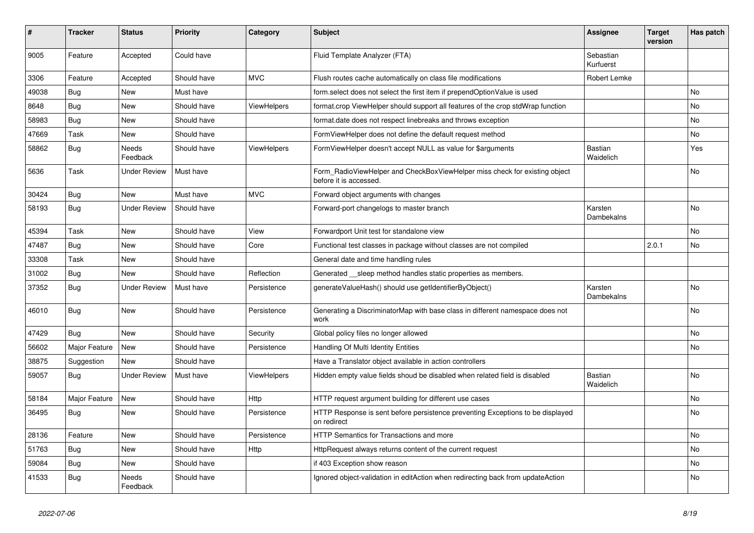| #     | <b>Tracker</b> | <b>Status</b>       | <b>Priority</b> | Category           | <b>Subject</b>                                                                                       | Assignee                    | <b>Target</b><br>version | Has patch      |
|-------|----------------|---------------------|-----------------|--------------------|------------------------------------------------------------------------------------------------------|-----------------------------|--------------------------|----------------|
| 9005  | Feature        | Accepted            | Could have      |                    | Fluid Template Analyzer (FTA)                                                                        | Sebastian<br>Kurfuerst      |                          |                |
| 3306  | Feature        | Accepted            | Should have     | <b>MVC</b>         | Flush routes cache automatically on class file modifications                                         | Robert Lemke                |                          |                |
| 49038 | <b>Bug</b>     | New                 | Must have       |                    | form select does not select the first item if prependOptionValue is used                             |                             |                          | No             |
| 8648  | <b>Bug</b>     | <b>New</b>          | Should have     | <b>ViewHelpers</b> | format.crop ViewHelper should support all features of the crop stdWrap function                      |                             |                          | No             |
| 58983 | <b>Bug</b>     | New                 | Should have     |                    | format.date does not respect linebreaks and throws exception                                         |                             |                          | No             |
| 47669 | Task           | New                 | Should have     |                    | FormViewHelper does not define the default request method                                            |                             |                          | No             |
| 58862 | <b>Bug</b>     | Needs<br>Feedback   | Should have     | <b>ViewHelpers</b> | FormViewHelper doesn't accept NULL as value for \$arguments                                          | Bastian<br>Waidelich        |                          | Yes            |
| 5636  | Task           | <b>Under Review</b> | Must have       |                    | Form_RadioViewHelper and CheckBoxViewHelper miss check for existing object<br>before it is accessed. |                             |                          | <b>No</b>      |
| 30424 | Bug            | New                 | Must have       | <b>MVC</b>         | Forward object arguments with changes                                                                |                             |                          |                |
| 58193 | <b>Bug</b>     | <b>Under Review</b> | Should have     |                    | Forward-port changelogs to master branch                                                             | Karsten<br>Dambekalns       |                          | <b>No</b>      |
| 45394 | Task           | New                 | Should have     | View               | Forwardport Unit test for standalone view                                                            |                             |                          | No             |
| 47487 | Bug            | New                 | Should have     | Core               | Functional test classes in package without classes are not compiled                                  |                             | 2.0.1                    | No             |
| 33308 | Task           | New                 | Should have     |                    | General date and time handling rules                                                                 |                             |                          |                |
| 31002 | Bug            | New                 | Should have     | Reflection         | Generated sleep method handles static properties as members.                                         |                             |                          |                |
| 37352 | <b>Bug</b>     | <b>Under Review</b> | Must have       | Persistence        | generateValueHash() should use getIdentifierByObject()                                               | Karsten<br>Dambekalns       |                          | No             |
| 46010 | <b>Bug</b>     | New                 | Should have     | Persistence        | Generating a DiscriminatorMap with base class in different namespace does not<br>work                |                             |                          | No             |
| 47429 | <b>Bug</b>     | <b>New</b>          | Should have     | Security           | Global policy files no longer allowed                                                                |                             |                          | <b>No</b>      |
| 56602 | Major Feature  | <b>New</b>          | Should have     | Persistence        | Handling Of Multi Identity Entities                                                                  |                             |                          | <b>No</b>      |
| 38875 | Suggestion     | <b>New</b>          | Should have     |                    | Have a Translator object available in action controllers                                             |                             |                          |                |
| 59057 | Bug            | <b>Under Review</b> | Must have       | ViewHelpers        | Hidden empty value fields shoud be disabled when related field is disabled                           | <b>Bastian</b><br>Waidelich |                          | No             |
| 58184 | Major Feature  | New                 | Should have     | Http               | HTTP request argument building for different use cases                                               |                             |                          | No             |
| 36495 | <b>Bug</b>     | New                 | Should have     | Persistence        | HTTP Response is sent before persistence preventing Exceptions to be displayed<br>on redirect        |                             |                          | No             |
| 28136 | Feature        | <b>New</b>          | Should have     | Persistence        | <b>HTTP Semantics for Transactions and more</b>                                                      |                             |                          | No             |
| 51763 | <b>Bug</b>     | <b>New</b>          | Should have     | Http               | HttpRequest always returns content of the current request                                            |                             |                          | <b>No</b>      |
| 59084 | Bug            | <b>New</b>          | Should have     |                    | if 403 Exception show reason                                                                         |                             |                          | N <sub>o</sub> |
| 41533 | Bug            | Needs<br>Feedback   | Should have     |                    | Ignored object-validation in editAction when redirecting back from updateAction                      |                             |                          | No             |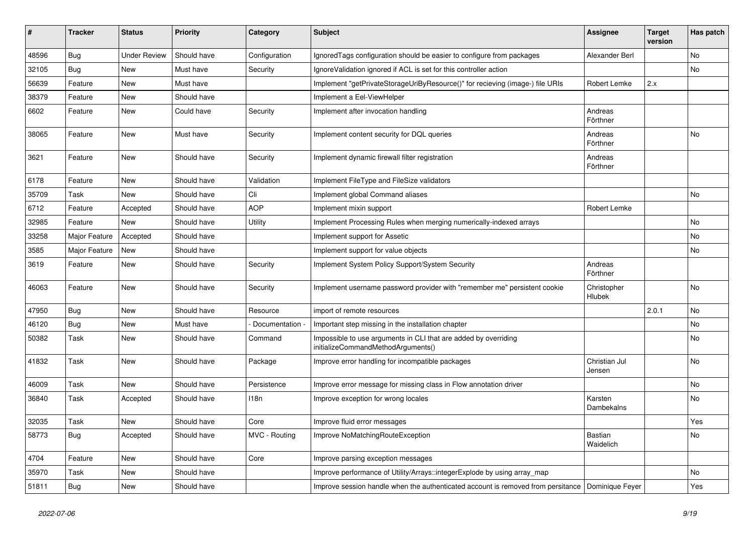| ∦     | <b>Tracker</b> | <b>Status</b>       | <b>Priority</b> | Category        | <b>Subject</b>                                                                                        | <b>Assignee</b>              | <b>Target</b><br>version | Has patch |
|-------|----------------|---------------------|-----------------|-----------------|-------------------------------------------------------------------------------------------------------|------------------------------|--------------------------|-----------|
| 48596 | <b>Bug</b>     | <b>Under Review</b> | Should have     | Configuration   | Ignored Tags configuration should be easier to configure from packages                                | Alexander Berl               |                          | No        |
| 32105 | Bug            | New                 | Must have       | Security        | Ignore Validation ignored if ACL is set for this controller action                                    |                              |                          | No        |
| 56639 | Feature        | New                 | Must have       |                 | Implement "getPrivateStorageUriByResource()" for recieving (image-) file URIs                         | Robert Lemke                 | 2.x                      |           |
| 38379 | Feature        | <b>New</b>          | Should have     |                 | Implement a Eel-ViewHelper                                                                            |                              |                          |           |
| 6602  | Feature        | New                 | Could have      | Security        | Implement after invocation handling                                                                   | Andreas<br>Förthner          |                          |           |
| 38065 | Feature        | New                 | Must have       | Security        | Implement content security for DQL queries                                                            | Andreas<br>Förthner          |                          | No        |
| 3621  | Feature        | <b>New</b>          | Should have     | Security        | Implement dynamic firewall filter registration                                                        | Andreas<br>Förthner          |                          |           |
| 6178  | Feature        | New                 | Should have     | Validation      | Implement FileType and FileSize validators                                                            |                              |                          |           |
| 35709 | Task           | New                 | Should have     | Cli             | Implement global Command aliases                                                                      |                              |                          | No        |
| 6712  | Feature        | Accepted            | Should have     | <b>AOP</b>      | Implement mixin support                                                                               | Robert Lemke                 |                          |           |
| 32985 | Feature        | New                 | Should have     | Utility         | Implement Processing Rules when merging numerically-indexed arrays                                    |                              |                          | No        |
| 33258 | Major Feature  | Accepted            | Should have     |                 | Implement support for Assetic                                                                         |                              |                          | No        |
| 3585  | Major Feature  | New                 | Should have     |                 | Implement support for value objects                                                                   |                              |                          | No        |
| 3619  | Feature        | New                 | Should have     | Security        | Implement System Policy Support/System Security                                                       | Andreas<br>Förthner          |                          |           |
| 46063 | Feature        | New                 | Should have     | Security        | Implement username password provider with "remember me" persistent cookie                             | Christopher<br><b>Hlubek</b> |                          | No        |
| 47950 | <b>Bug</b>     | New                 | Should have     | Resource        | import of remote resources                                                                            |                              | 2.0.1                    | No        |
| 46120 | Bug            | New                 | Must have       | Documentation - | Important step missing in the installation chapter                                                    |                              |                          | No        |
| 50382 | Task           | New                 | Should have     | Command         | Impossible to use arguments in CLI that are added by overriding<br>initializeCommandMethodArguments() |                              |                          | No        |
| 41832 | Task           | <b>New</b>          | Should have     | Package         | Improve error handling for incompatible packages                                                      | Christian Jul<br>Jensen      |                          | No        |
| 46009 | Task           | New                 | Should have     | Persistence     | Improve error message for missing class in Flow annotation driver                                     |                              |                          | <b>No</b> |
| 36840 | Task           | Accepted            | Should have     | 118n            | Improve exception for wrong locales                                                                   | Karsten<br>Dambekalns        |                          | No        |
| 32035 | Task           | New                 | Should have     | Core            | Improve fluid error messages                                                                          |                              |                          | Yes       |
| 58773 | <b>Bug</b>     | Accepted            | Should have     | MVC - Routing   | Improve NoMatchingRouteException                                                                      | Bastian<br>Waidelich         |                          | No        |
| 4704  | Feature        | New                 | Should have     | Core            | Improve parsing exception messages                                                                    |                              |                          |           |
| 35970 | Task           | New                 | Should have     |                 | Improve performance of Utility/Arrays::integerExplode by using array_map                              |                              |                          | No        |
| 51811 | Bug            | New                 | Should have     |                 | Improve session handle when the authenticated account is removed from persitance                      | Dominique Feyer              |                          | Yes       |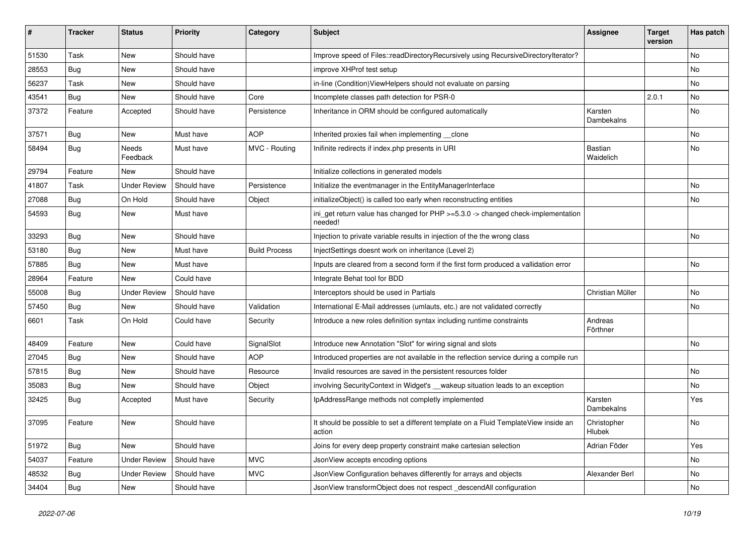| ∦     | <b>Tracker</b> | <b>Status</b>       | <b>Priority</b> | Category             | <b>Subject</b>                                                                                | <b>Assignee</b>             | <b>Target</b><br>version | Has patch |
|-------|----------------|---------------------|-----------------|----------------------|-----------------------------------------------------------------------------------------------|-----------------------------|--------------------------|-----------|
| 51530 | Task           | New                 | Should have     |                      | Improve speed of Files::readDirectoryRecursively using RecursiveDirectoryIterator?            |                             |                          | <b>No</b> |
| 28553 | Bug            | New                 | Should have     |                      | improve XHProf test setup                                                                     |                             |                          | No        |
| 56237 | Task           | New                 | Should have     |                      | in-line (Condition) ViewHelpers should not evaluate on parsing                                |                             |                          | No        |
| 43541 | Bug            | New                 | Should have     | Core                 | Incomplete classes path detection for PSR-0                                                   |                             | 2.0.1                    | No        |
| 37372 | Feature        | Accepted            | Should have     | Persistence          | Inheritance in ORM should be configured automatically                                         | Karsten<br>Dambekalns       |                          | No        |
| 37571 | <b>Bug</b>     | New                 | Must have       | <b>AOP</b>           | Inherited proxies fail when implementing clone                                                |                             |                          | No        |
| 58494 | <b>Bug</b>     | Needs<br>Feedback   | Must have       | MVC - Routing        | Inifinite redirects if index.php presents in URI                                              | <b>Bastian</b><br>Waidelich |                          | <b>No</b> |
| 29794 | Feature        | New                 | Should have     |                      | Initialize collections in generated models                                                    |                             |                          |           |
| 41807 | Task           | <b>Under Review</b> | Should have     | Persistence          | Initialize the eventmanager in the EntityManagerInterface                                     |                             |                          | <b>No</b> |
| 27088 | <b>Bug</b>     | On Hold             | Should have     | Object               | initializeObject() is called too early when reconstructing entities                           |                             |                          | No        |
| 54593 | <b>Bug</b>     | New                 | Must have       |                      | ini_get return value has changed for PHP >=5.3.0 -> changed check-implementation<br>needed!   |                             |                          |           |
| 33293 | Bug            | New                 | Should have     |                      | Injection to private variable results in injection of the the wrong class                     |                             |                          | No        |
| 53180 | <b>Bug</b>     | New                 | Must have       | <b>Build Process</b> | InjectSettings doesnt work on inheritance (Level 2)                                           |                             |                          |           |
| 57885 | Bug            | New                 | Must have       |                      | Inputs are cleared from a second form if the first form produced a vallidation error          |                             |                          | No        |
| 28964 | Feature        | <b>New</b>          | Could have      |                      | Integrate Behat tool for BDD                                                                  |                             |                          |           |
| 55008 | Bug            | <b>Under Review</b> | Should have     |                      | Interceptors should be used in Partials                                                       | Christian Müller            |                          | No        |
| 57450 | <b>Bug</b>     | New                 | Should have     | Validation           | International E-Mail addresses (umlauts, etc.) are not validated correctly                    |                             |                          | No        |
| 6601  | Task           | On Hold             | Could have      | Security             | Introduce a new roles definition syntax including runtime constraints                         | Andreas<br>Förthner         |                          |           |
| 48409 | Feature        | New                 | Could have      | SignalSlot           | Introduce new Annotation "Slot" for wiring signal and slots                                   |                             |                          | No        |
| 27045 | <b>Bug</b>     | New                 | Should have     | <b>AOP</b>           | Introduced properties are not available in the reflection service during a compile run        |                             |                          |           |
| 57815 | Bug            | New                 | Should have     | Resource             | Invalid resources are saved in the persistent resources folder                                |                             |                          | <b>No</b> |
| 35083 | Bug            | New                 | Should have     | Object               | involving SecurityContext in Widget's __wakeup situation leads to an exception                |                             |                          | No        |
| 32425 | <b>Bug</b>     | Accepted            | Must have       | Security             | IpAddressRange methods not completly implemented                                              | Karsten<br>Dambekalns       |                          | Yes       |
| 37095 | Feature        | New                 | Should have     |                      | It should be possible to set a different template on a Fluid TemplateView inside an<br>action | Christopher<br>Hlubek       |                          | No        |
| 51972 | Bug            | New                 | Should have     |                      | Joins for every deep property constraint make cartesian selection                             | Adrian Föder                |                          | Yes       |
| 54037 | Feature        | <b>Under Review</b> | Should have     | <b>MVC</b>           | JsonView accepts encoding options                                                             |                             |                          | No        |
| 48532 | Bug            | <b>Under Review</b> | Should have     | <b>MVC</b>           | JsonView Configuration behaves differently for arrays and objects                             | Alexander Berl              |                          | No        |
| 34404 | <b>Bug</b>     | New                 | Should have     |                      | JsonView transformObject does not respect descendAll configuration                            |                             |                          | No        |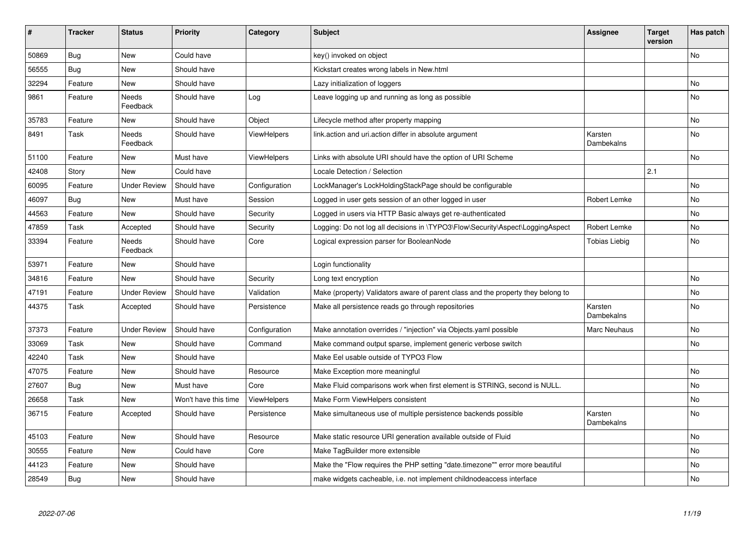| $\vert$ # | <b>Tracker</b> | <b>Status</b>            | <b>Priority</b>      | Category           | <b>Subject</b>                                                                   | Assignee              | <b>Target</b><br>version | Has patch |
|-----------|----------------|--------------------------|----------------------|--------------------|----------------------------------------------------------------------------------|-----------------------|--------------------------|-----------|
| 50869     | <b>Bug</b>     | New                      | Could have           |                    | key() invoked on object                                                          |                       |                          | <b>No</b> |
| 56555     | Bug            | New                      | Should have          |                    | Kickstart creates wrong labels in New.html                                       |                       |                          |           |
| 32294     | Feature        | New                      | Should have          |                    | Lazy initialization of loggers                                                   |                       |                          | No        |
| 9861      | Feature        | Needs<br>Feedback        | Should have          | Log                | Leave logging up and running as long as possible                                 |                       |                          | No        |
| 35783     | Feature        | New                      | Should have          | Object             | Lifecycle method after property mapping                                          |                       |                          | No        |
| 8491      | Task           | <b>Needs</b><br>Feedback | Should have          | <b>ViewHelpers</b> | link.action and uri.action differ in absolute argument                           | Karsten<br>Dambekalns |                          | <b>No</b> |
| 51100     | Feature        | New                      | Must have            | <b>ViewHelpers</b> | Links with absolute URI should have the option of URI Scheme                     |                       |                          | <b>No</b> |
| 42408     | Story          | New                      | Could have           |                    | Locale Detection / Selection                                                     |                       | 2.1                      |           |
| 60095     | Feature        | Under Review             | Should have          | Configuration      | LockManager's LockHoldingStackPage should be configurable                        |                       |                          | <b>No</b> |
| 46097     | Bug            | New                      | Must have            | Session            | Logged in user gets session of an other logged in user                           | Robert Lemke          |                          | No        |
| 44563     | Feature        | <b>New</b>               | Should have          | Security           | Logged in users via HTTP Basic always get re-authenticated                       |                       |                          | <b>No</b> |
| 47859     | Task           | Accepted                 | Should have          | Security           | Logging: Do not log all decisions in \TYPO3\Flow\Security\Aspect\LoggingAspect   | Robert Lemke          |                          | <b>No</b> |
| 33394     | Feature        | Needs<br>Feedback        | Should have          | Core               | Logical expression parser for BooleanNode                                        | <b>Tobias Liebig</b>  |                          | <b>No</b> |
| 53971     | Feature        | <b>New</b>               | Should have          |                    | Login functionality                                                              |                       |                          |           |
| 34816     | Feature        | New                      | Should have          | Security           | Long text encryption                                                             |                       |                          | <b>No</b> |
| 47191     | Feature        | Under Review             | Should have          | Validation         | Make (property) Validators aware of parent class and the property they belong to |                       |                          | <b>No</b> |
| 44375     | Task           | Accepted                 | Should have          | Persistence        | Make all persistence reads go through repositories                               | Karsten<br>Dambekalns |                          | <b>No</b> |
| 37373     | Feature        | <b>Under Review</b>      | Should have          | Configuration      | Make annotation overrides / "injection" via Objects.yaml possible                | Marc Neuhaus          |                          | <b>No</b> |
| 33069     | Task           | <b>New</b>               | Should have          | Command            | Make command output sparse, implement generic verbose switch                     |                       |                          | <b>No</b> |
| 42240     | Task           | <b>New</b>               | Should have          |                    | Make Eel usable outside of TYPO3 Flow                                            |                       |                          |           |
| 47075     | Feature        | New                      | Should have          | Resource           | Make Exception more meaningful                                                   |                       |                          | <b>No</b> |
| 27607     | <b>Bug</b>     | New                      | Must have            | Core               | Make Fluid comparisons work when first element is STRING, second is NULL.        |                       |                          | <b>No</b> |
| 26658     | Task           | New                      | Won't have this time | ViewHelpers        | Make Form ViewHelpers consistent                                                 |                       |                          | No        |
| 36715     | Feature        | Accepted                 | Should have          | Persistence        | Make simultaneous use of multiple persistence backends possible                  | Karsten<br>Dambekalns |                          | <b>No</b> |
| 45103     | Feature        | New                      | Should have          | Resource           | Make static resource URI generation available outside of Fluid                   |                       |                          | No        |
| 30555     | Feature        | New                      | Could have           | Core               | Make TagBuilder more extensible                                                  |                       |                          | <b>No</b> |
| 44123     | Feature        | New                      | Should have          |                    | Make the "Flow requires the PHP setting "date.timezone"" error more beautiful    |                       |                          | No        |
| 28549     | <b>Bug</b>     | <b>New</b>               | Should have          |                    | make widgets cacheable, i.e. not implement childnodeaccess interface             |                       |                          | No        |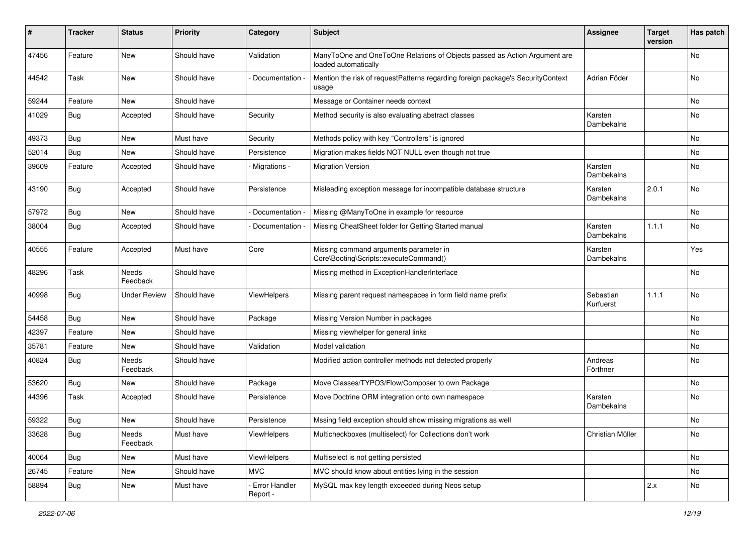| #     | <b>Tracker</b> | <b>Status</b>       | <b>Priority</b> | Category                  | Subject                                                                                           | <b>Assignee</b>        | <b>Target</b><br>version | Has patch |
|-------|----------------|---------------------|-----------------|---------------------------|---------------------------------------------------------------------------------------------------|------------------------|--------------------------|-----------|
| 47456 | Feature        | <b>New</b>          | Should have     | Validation                | ManyToOne and OneToOne Relations of Objects passed as Action Argument are<br>loaded automatically |                        |                          | No        |
| 44542 | Task           | New                 | Should have     | Documentation -           | Mention the risk of requestPatterns regarding foreign package's SecurityContext<br>usage          | Adrian Föder           |                          | No        |
| 59244 | Feature        | New                 | Should have     |                           | Message or Container needs context                                                                |                        |                          | No        |
| 41029 | <b>Bug</b>     | Accepted            | Should have     | Security                  | Method security is also evaluating abstract classes                                               | Karsten<br>Dambekalns  |                          | <b>No</b> |
| 49373 | Bug            | <b>New</b>          | Must have       | Security                  | Methods policy with key "Controllers" is ignored                                                  |                        |                          | No        |
| 52014 | <b>Bug</b>     | New                 | Should have     | Persistence               | Migration makes fields NOT NULL even though not true                                              |                        |                          | No        |
| 39609 | Feature        | Accepted            | Should have     | - Migrations -            | <b>Migration Version</b>                                                                          | Karsten<br>Dambekalns  |                          | <b>No</b> |
| 43190 | Bug            | Accepted            | Should have     | Persistence               | Misleading exception message for incompatible database structure                                  | Karsten<br>Dambekalns  | 2.0.1                    | <b>No</b> |
| 57972 | <b>Bug</b>     | <b>New</b>          | Should have     | Documentation             | Missing @ManyToOne in example for resource                                                        |                        |                          | No        |
| 38004 | <b>Bug</b>     | Accepted            | Should have     | Documentation             | Missing CheatSheet folder for Getting Started manual                                              | Karsten<br>Dambekalns  | 1.1.1                    | <b>No</b> |
| 40555 | Feature        | Accepted            | Must have       | Core                      | Missing command arguments parameter in<br>Core\Booting\Scripts::executeCommand()                  | Karsten<br>Dambekalns  |                          | Yes       |
| 48296 | Task           | Needs<br>Feedback   | Should have     |                           | Missing method in ExceptionHandlerInterface                                                       |                        |                          | <b>No</b> |
| 40998 | <b>Bug</b>     | <b>Under Review</b> | Should have     | <b>ViewHelpers</b>        | Missing parent request namespaces in form field name prefix                                       | Sebastian<br>Kurfuerst | 1.1.1                    | No        |
| 54458 | <b>Bug</b>     | <b>New</b>          | Should have     | Package                   | Missing Version Number in packages                                                                |                        |                          | No        |
| 42397 | Feature        | New                 | Should have     |                           | Missing viewhelper for general links                                                              |                        |                          | No        |
| 35781 | Feature        | New                 | Should have     | Validation                | Model validation                                                                                  |                        |                          | No        |
| 40824 | <b>Bug</b>     | Needs<br>Feedback   | Should have     |                           | Modified action controller methods not detected properly                                          | Andreas<br>Förthner    |                          | No        |
| 53620 | <b>Bug</b>     | New                 | Should have     | Package                   | Move Classes/TYPO3/Flow/Composer to own Package                                                   |                        |                          | No        |
| 44396 | Task           | Accepted            | Should have     | Persistence               | Move Doctrine ORM integration onto own namespace                                                  | Karsten<br>Dambekalns  |                          | No        |
| 59322 | <b>Bug</b>     | New                 | Should have     | Persistence               | Mssing field exception should show missing migrations as well                                     |                        |                          | No        |
| 33628 | <b>Bug</b>     | Needs<br>Feedback   | Must have       | ViewHelpers               | Multicheckboxes (multiselect) for Collections don't work                                          | Christian Müller       |                          | No        |
| 40064 | <b>Bug</b>     | <b>New</b>          | Must have       | ViewHelpers               | Multiselect is not getting persisted                                                              |                        |                          | No        |
| 26745 | Feature        | New                 | Should have     | <b>MVC</b>                | MVC should know about entities lying in the session                                               |                        |                          | No        |
| 58894 | <b>Bug</b>     | New                 | Must have       | Error Handler<br>Report - | MySQL max key length exceeded during Neos setup                                                   |                        | 2.x                      | No        |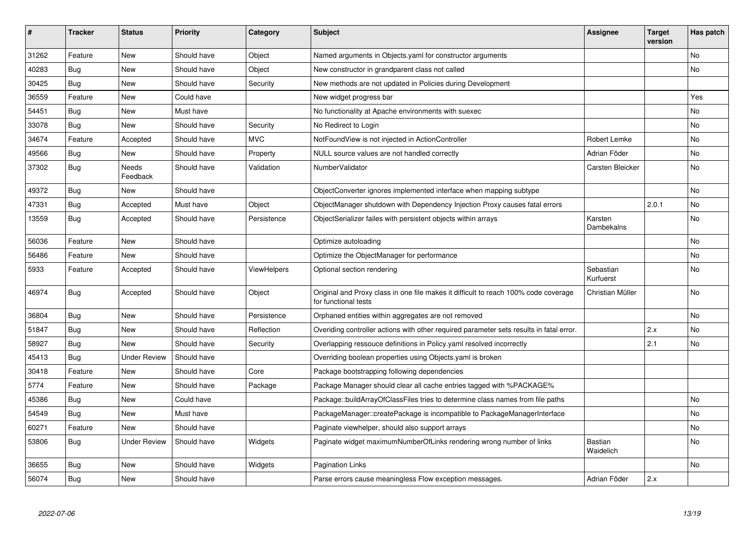| ∦     | <b>Tracker</b> | <b>Status</b>       | <b>Priority</b> | Category           | <b>Subject</b>                                                                                              | <b>Assignee</b>             | <b>Target</b><br>version | Has patch |
|-------|----------------|---------------------|-----------------|--------------------|-------------------------------------------------------------------------------------------------------------|-----------------------------|--------------------------|-----------|
| 31262 | Feature        | New                 | Should have     | Object             | Named arguments in Objects yaml for constructor arguments                                                   |                             |                          | <b>No</b> |
| 40283 | <b>Bug</b>     | New                 | Should have     | Object             | New constructor in grandparent class not called                                                             |                             |                          | No        |
| 30425 | Bug            | New                 | Should have     | Security           | New methods are not updated in Policies during Development                                                  |                             |                          |           |
| 36559 | Feature        | New                 | Could have      |                    | New widget progress bar                                                                                     |                             |                          | Yes       |
| 54451 | Bug            | New                 | Must have       |                    | No functionality at Apache environments with suexec                                                         |                             |                          | No        |
| 33078 | Bug            | New                 | Should have     | Security           | No Redirect to Login                                                                                        |                             |                          | No        |
| 34674 | Feature        | Accepted            | Should have     | <b>MVC</b>         | NotFoundView is not injected in ActionController                                                            | Robert Lemke                |                          | No        |
| 49566 | <b>Bug</b>     | <b>New</b>          | Should have     | Property           | NULL source values are not handled correctly                                                                | Adrian Föder                |                          | No        |
| 37302 | <b>Bug</b>     | Needs<br>Feedback   | Should have     | Validation         | NumberValidator                                                                                             | Carsten Bleicker            |                          | <b>No</b> |
| 49372 | <b>Bug</b>     | New                 | Should have     |                    | ObjectConverter ignores implemented interface when mapping subtype                                          |                             |                          | No        |
| 47331 | Bug            | Accepted            | Must have       | Object             | ObjectManager shutdown with Dependency Injection Proxy causes fatal errors                                  |                             | 2.0.1                    | No        |
| 13559 | <b>Bug</b>     | Accepted            | Should have     | Persistence        | ObjectSerializer failes with persistent objects within arrays                                               | Karsten<br>Dambekalns       |                          | No        |
| 56036 | Feature        | <b>New</b>          | Should have     |                    | Optimize autoloading                                                                                        |                             |                          | <b>No</b> |
| 56486 | Feature        | New                 | Should have     |                    | Optimize the ObjectManager for performance                                                                  |                             |                          | No        |
| 5933  | Feature        | Accepted            | Should have     | <b>ViewHelpers</b> | Optional section rendering                                                                                  | Sebastian<br>Kurfuerst      |                          | <b>No</b> |
| 46974 | <b>Bug</b>     | Accepted            | Should have     | Object             | Original and Proxy class in one file makes it difficult to reach 100% code coverage<br>for functional tests | Christian Müller            |                          | No        |
| 36804 | Bug            | <b>New</b>          | Should have     | Persistence        | Orphaned entities within aggregates are not removed                                                         |                             |                          | <b>No</b> |
| 51847 | Bug            | New                 | Should have     | Reflection         | Overiding controller actions with other required parameter sets results in fatal error.                     |                             | 2.x                      | No        |
| 58927 | <b>Bug</b>     | <b>New</b>          | Should have     | Security           | Overlapping ressouce definitions in Policy yaml resolved incorrectly                                        |                             | 2.1                      | <b>No</b> |
| 45413 | Bug            | <b>Under Review</b> | Should have     |                    | Overriding boolean properties using Objects yaml is broken                                                  |                             |                          |           |
| 30418 | Feature        | <b>New</b>          | Should have     | Core               | Package bootstrapping following dependencies                                                                |                             |                          |           |
| 5774  | Feature        | New                 | Should have     | Package            | Package Manager should clear all cache entries tagged with %PACKAGE%                                        |                             |                          |           |
| 45386 | <b>Bug</b>     | <b>New</b>          | Could have      |                    | Package::buildArrayOfClassFiles tries to determine class names from file paths                              |                             |                          | <b>No</b> |
| 54549 | Bug            | New                 | Must have       |                    | PackageManager::createPackage is incompatible to PackageManagerInterface                                    |                             |                          | No        |
| 60271 | Feature        | <b>New</b>          | Should have     |                    | Paginate viewhelper, should also support arrays                                                             |                             |                          | No        |
| 53806 | <b>Bug</b>     | Under Review        | Should have     | Widgets            | Paginate widget maximumNumberOfLinks rendering wrong number of links                                        | <b>Bastian</b><br>Waidelich |                          | No        |
| 36655 | Bug            | New                 | Should have     | Widgets            | Pagination Links                                                                                            |                             |                          | No        |
| 56074 | <b>Bug</b>     | New                 | Should have     |                    | Parse errors cause meaningless Flow exception messages.                                                     | Adrian Föder                | 2.x                      |           |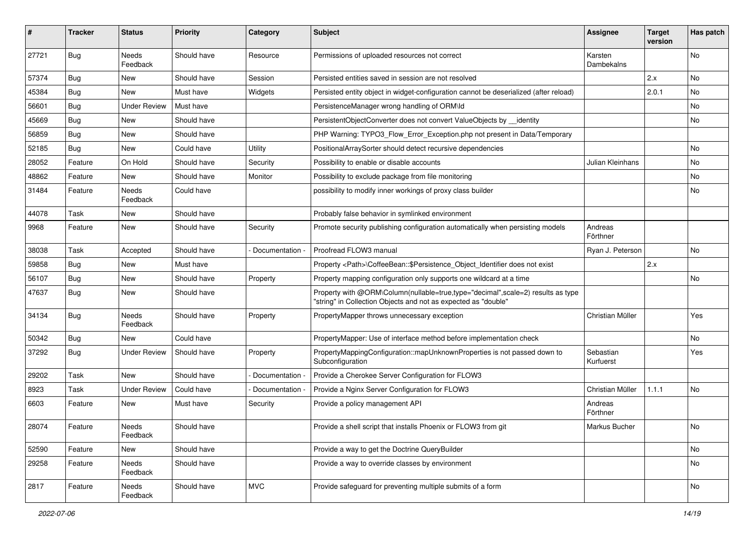| ∦     | <b>Tracker</b> | <b>Status</b>       | <b>Priority</b> | Category        | Subject                                                                                                                                           | <b>Assignee</b>        | <b>Target</b><br>version | Has patch |
|-------|----------------|---------------------|-----------------|-----------------|---------------------------------------------------------------------------------------------------------------------------------------------------|------------------------|--------------------------|-----------|
| 27721 | <b>Bug</b>     | Needs<br>Feedback   | Should have     | Resource        | Permissions of uploaded resources not correct                                                                                                     | Karsten<br>Dambekalns  |                          | No        |
| 57374 | Bug            | New                 | Should have     | Session         | Persisted entities saved in session are not resolved                                                                                              |                        | 2.x                      | No        |
| 45384 | <b>Bug</b>     | New                 | Must have       | Widgets         | Persisted entity object in widget-configuration cannot be deserialized (after reload)                                                             |                        | 2.0.1                    | No        |
| 56601 | Bug            | <b>Under Review</b> | Must have       |                 | PersistenceManager wrong handling of ORM\ld                                                                                                       |                        |                          | No        |
| 45669 | <b>Bug</b>     | New                 | Should have     |                 | PersistentObjectConverter does not convert ValueObjects by identity                                                                               |                        |                          | No.       |
| 56859 | <b>Bug</b>     | New                 | Should have     |                 | PHP Warning: TYPO3 Flow Error Exception.php not present in Data/Temporary                                                                         |                        |                          |           |
| 52185 | Bug            | New                 | Could have      | Utility         | PositionalArraySorter should detect recursive dependencies                                                                                        |                        |                          | No        |
| 28052 | Feature        | On Hold             | Should have     | Security        | Possibility to enable or disable accounts                                                                                                         | Julian Kleinhans       |                          | No        |
| 48862 | Feature        | New                 | Should have     | Monitor         | Possibility to exclude package from file monitoring                                                                                               |                        |                          | No        |
| 31484 | Feature        | Needs<br>Feedback   | Could have      |                 | possibility to modify inner workings of proxy class builder                                                                                       |                        |                          | No        |
| 44078 | Task           | New                 | Should have     |                 | Probably false behavior in symlinked environment                                                                                                  |                        |                          |           |
| 9968  | Feature        | New                 | Should have     | Security        | Promote security publishing configuration automatically when persisting models                                                                    | Andreas<br>Förthner    |                          |           |
| 38038 | Task           | Accepted            | Should have     | Documentation - | Proofread FLOW3 manual                                                                                                                            | Ryan J. Peterson       |                          | No.       |
| 59858 | Bug            | New                 | Must have       |                 | Property <path>\CoffeeBean::\$Persistence Object Identifier does not exist</path>                                                                 |                        | 2.x                      |           |
| 56107 | Bug            | New                 | Should have     | Property        | Property mapping configuration only supports one wildcard at a time                                                                               |                        |                          | No        |
| 47637 | <b>Bug</b>     | New                 | Should have     |                 | Property with @ORM\Column(nullable=true,type="decimal",scale=2) results as type<br>"string" in Collection Objects and not as expected as "double" |                        |                          |           |
| 34134 | <b>Bug</b>     | Needs<br>Feedback   | Should have     | Property        | PropertyMapper throws unnecessary exception                                                                                                       | Christian Müller       |                          | Yes       |
| 50342 | <b>Bug</b>     | New                 | Could have      |                 | PropertyMapper: Use of interface method before implementation check                                                                               |                        |                          | No        |
| 37292 | <b>Bug</b>     | <b>Under Review</b> | Should have     | Property        | PropertyMappingConfiguration::mapUnknownProperties is not passed down to<br>Subconfiguration                                                      | Sebastian<br>Kurfuerst |                          | Yes       |
| 29202 | Task           | New                 | Should have     | Documentation   | Provide a Cherokee Server Configuration for FLOW3                                                                                                 |                        |                          |           |
| 8923  | Task           | <b>Under Review</b> | Could have      | Documentation - | Provide a Nginx Server Configuration for FLOW3                                                                                                    | Christian Müller       | 1.1.1                    | No        |
| 6603  | Feature        | New                 | Must have       | Security        | Provide a policy management API                                                                                                                   | Andreas<br>Förthner    |                          |           |
| 28074 | Feature        | Needs<br>Feedback   | Should have     |                 | Provide a shell script that installs Phoenix or FLOW3 from git                                                                                    | Markus Bucher          |                          | No        |
| 52590 | Feature        | New                 | Should have     |                 | Provide a way to get the Doctrine QueryBuilder                                                                                                    |                        |                          | No        |
| 29258 | Feature        | Needs<br>Feedback   | Should have     |                 | Provide a way to override classes by environment                                                                                                  |                        |                          | No        |
| 2817  | Feature        | Needs<br>Feedback   | Should have     | <b>MVC</b>      | Provide safeguard for preventing multiple submits of a form                                                                                       |                        |                          | No        |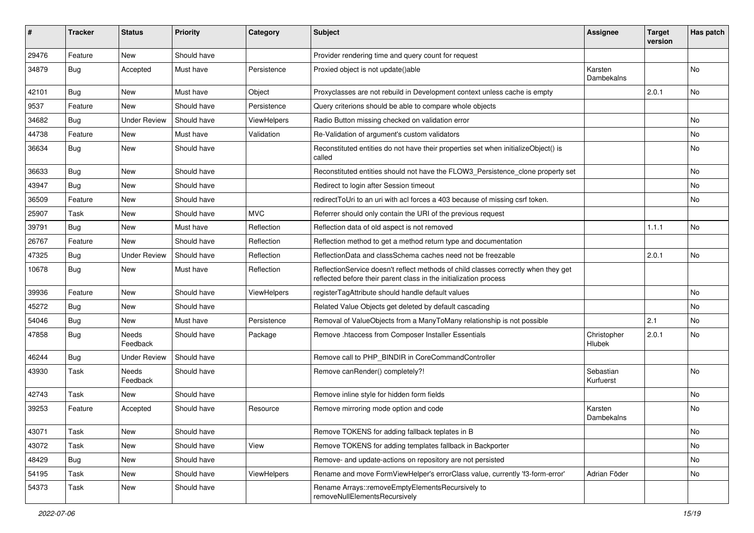| ∦     | <b>Tracker</b> | <b>Status</b>       | <b>Priority</b> | Category           | Subject                                                                                                                                                 | <b>Assignee</b>        | <b>Target</b><br>version | Has patch |
|-------|----------------|---------------------|-----------------|--------------------|---------------------------------------------------------------------------------------------------------------------------------------------------------|------------------------|--------------------------|-----------|
| 29476 | Feature        | <b>New</b>          | Should have     |                    | Provider rendering time and query count for request                                                                                                     |                        |                          |           |
| 34879 | <b>Bug</b>     | Accepted            | Must have       | Persistence        | Proxied object is not update()able                                                                                                                      | Karsten<br>Dambekalns  |                          | No        |
| 42101 | Bug            | <b>New</b>          | Must have       | Object             | Proxyclasses are not rebuild in Development context unless cache is empty                                                                               |                        | 2.0.1                    | No        |
| 9537  | Feature        | New                 | Should have     | Persistence        | Query criterions should be able to compare whole objects                                                                                                |                        |                          |           |
| 34682 | <b>Bug</b>     | Under Review        | Should have     | <b>ViewHelpers</b> | Radio Button missing checked on validation error                                                                                                        |                        |                          | <b>No</b> |
| 44738 | Feature        | New                 | Must have       | Validation         | Re-Validation of argument's custom validators                                                                                                           |                        |                          | No        |
| 36634 | <b>Bug</b>     | New                 | Should have     |                    | Reconstituted entities do not have their properties set when initializeObject() is<br>called                                                            |                        |                          | No        |
| 36633 | Bug            | <b>New</b>          | Should have     |                    | Reconstituted entities should not have the FLOW3_Persistence_clone property set                                                                         |                        |                          | No        |
| 43947 | <b>Bug</b>     | New                 | Should have     |                    | Redirect to login after Session timeout                                                                                                                 |                        |                          | No        |
| 36509 | Feature        | <b>New</b>          | Should have     |                    | redirectToUri to an uri with acl forces a 403 because of missing csrf token.                                                                            |                        |                          | No        |
| 25907 | Task           | New                 | Should have     | <b>MVC</b>         | Referrer should only contain the URI of the previous request                                                                                            |                        |                          |           |
| 39791 | <b>Bug</b>     | <b>New</b>          | Must have       | Reflection         | Reflection data of old aspect is not removed                                                                                                            |                        | 1.1.1                    | No        |
| 26767 | Feature        | New                 | Should have     | Reflection         | Reflection method to get a method return type and documentation                                                                                         |                        |                          |           |
| 47325 | <b>Bug</b>     | <b>Under Review</b> | Should have     | Reflection         | ReflectionData and classSchema caches need not be freezable                                                                                             |                        | 2.0.1                    | No        |
| 10678 | Bug            | New                 | Must have       | Reflection         | ReflectionService doesn't reflect methods of child classes correctly when they get<br>reflected before their parent class in the initialization process |                        |                          |           |
| 39936 | Feature        | New                 | Should have     | ViewHelpers        | registerTagAttribute should handle default values                                                                                                       |                        |                          | No        |
| 45272 | <b>Bug</b>     | New                 | Should have     |                    | Related Value Objects get deleted by default cascading                                                                                                  |                        |                          | No        |
| 54046 | Bug            | New                 | Must have       | Persistence        | Removal of ValueObjects from a ManyToMany relationship is not possible                                                                                  |                        | 2.1                      | No        |
| 47858 | <b>Bug</b>     | Needs<br>Feedback   | Should have     | Package            | Remove .htaccess from Composer Installer Essentials                                                                                                     | Christopher<br>Hlubek  | 2.0.1                    | No        |
| 46244 | Bug            | <b>Under Review</b> | Should have     |                    | Remove call to PHP_BINDIR in CoreCommandController                                                                                                      |                        |                          |           |
| 43930 | Task           | Needs<br>Feedback   | Should have     |                    | Remove canRender() completely?!                                                                                                                         | Sebastian<br>Kurfuerst |                          | No        |
| 42743 | Task           | New                 | Should have     |                    | Remove inline style for hidden form fields                                                                                                              |                        |                          | No        |
| 39253 | Feature        | Accepted            | Should have     | Resource           | Remove mirroring mode option and code                                                                                                                   | Karsten<br>Dambekalns  |                          | No        |
| 43071 | Task           | New                 | Should have     |                    | Remove TOKENS for adding fallback teplates in B                                                                                                         |                        |                          | No        |
| 43072 | Task           | New                 | Should have     | View               | Remove TOKENS for adding templates fallback in Backporter                                                                                               |                        |                          | No        |
| 48429 | Bug            | New                 | Should have     |                    | Remove- and update-actions on repository are not persisted                                                                                              |                        |                          | No        |
| 54195 | Task           | New                 | Should have     | <b>ViewHelpers</b> | Rename and move FormViewHelper's errorClass value, currently 'f3-form-error'                                                                            | Adrian Föder           |                          | No        |
| 54373 | Task           | New                 | Should have     |                    | Rename Arrays::removeEmptyElementsRecursively to<br>removeNullElementsRecursively                                                                       |                        |                          |           |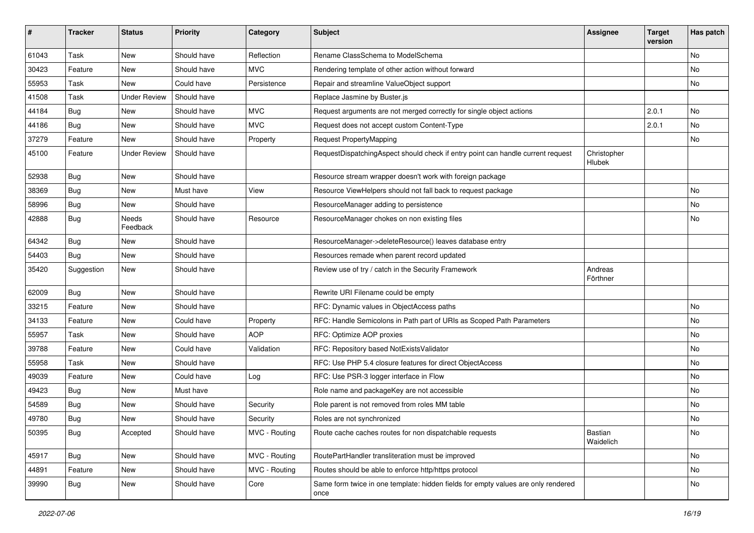| ∦     | <b>Tracker</b> | <b>Status</b>       | <b>Priority</b> | Category      | Subject                                                                                   | <b>Assignee</b>       | <b>Target</b><br>version | Has patch |
|-------|----------------|---------------------|-----------------|---------------|-------------------------------------------------------------------------------------------|-----------------------|--------------------------|-----------|
| 61043 | Task           | New                 | Should have     | Reflection    | Rename ClassSchema to ModelSchema                                                         |                       |                          | <b>No</b> |
| 30423 | Feature        | New                 | Should have     | <b>MVC</b>    | Rendering template of other action without forward                                        |                       |                          | No        |
| 55953 | Task           | New                 | Could have      | Persistence   | Repair and streamline ValueObject support                                                 |                       |                          | No        |
| 41508 | Task           | <b>Under Review</b> | Should have     |               | Replace Jasmine by Buster.js                                                              |                       |                          |           |
| 44184 | Bug            | New                 | Should have     | <b>MVC</b>    | Request arguments are not merged correctly for single object actions                      |                       | 2.0.1                    | No        |
| 44186 | Bug            | New                 | Should have     | <b>MVC</b>    | Request does not accept custom Content-Type                                               |                       | 2.0.1                    | <b>No</b> |
| 37279 | Feature        | New                 | Should have     | Property      | Request PropertyMapping                                                                   |                       |                          | No        |
| 45100 | Feature        | <b>Under Review</b> | Should have     |               | RequestDispatchingAspect should check if entry point can handle current request           | Christopher<br>Hlubek |                          |           |
| 52938 | Bug            | New                 | Should have     |               | Resource stream wrapper doesn't work with foreign package                                 |                       |                          |           |
| 38369 | Bug            | New                 | Must have       | View          | Resource ViewHelpers should not fall back to request package                              |                       |                          | <b>No</b> |
| 58996 | Bug            | New                 | Should have     |               | ResourceManager adding to persistence                                                     |                       |                          | No        |
| 42888 | <b>Bug</b>     | Needs<br>Feedback   | Should have     | Resource      | ResourceManager chokes on non existing files                                              |                       |                          | No        |
| 64342 | <b>Bug</b>     | New                 | Should have     |               | ResourceManager->deleteResource() leaves database entry                                   |                       |                          |           |
| 54403 | <b>Bug</b>     | New                 | Should have     |               | Resources remade when parent record updated                                               |                       |                          |           |
| 35420 | Suggestion     | New                 | Should have     |               | Review use of try / catch in the Security Framework                                       | Andreas<br>Förthner   |                          |           |
| 62009 | Bug            | New                 | Should have     |               | Rewrite URI Filename could be empty                                                       |                       |                          |           |
| 33215 | Feature        | New                 | Should have     |               | RFC: Dynamic values in ObjectAccess paths                                                 |                       |                          | <b>No</b> |
| 34133 | Feature        | New                 | Could have      | Property      | RFC: Handle Semicolons in Path part of URIs as Scoped Path Parameters                     |                       |                          | No        |
| 55957 | Task           | New                 | Should have     | <b>AOP</b>    | RFC: Optimize AOP proxies                                                                 |                       |                          | <b>No</b> |
| 39788 | Feature        | New                 | Could have      | Validation    | RFC: Repository based NotExistsValidator                                                  |                       |                          | No        |
| 55958 | Task           | New                 | Should have     |               | RFC: Use PHP 5.4 closure features for direct ObjectAccess                                 |                       |                          | <b>No</b> |
| 49039 | Feature        | New                 | Could have      | Log           | RFC: Use PSR-3 logger interface in Flow                                                   |                       |                          | <b>No</b> |
| 49423 | <b>Bug</b>     | New                 | Must have       |               | Role name and packageKey are not accessible                                               |                       |                          | No        |
| 54589 | <b>Bug</b>     | New                 | Should have     | Security      | Role parent is not removed from roles MM table                                            |                       |                          | <b>No</b> |
| 49780 | <b>Bug</b>     | New                 | Should have     | Security      | Roles are not synchronized                                                                |                       |                          | No        |
| 50395 | <b>Bug</b>     | Accepted            | Should have     | MVC - Routing | Route cache caches routes for non dispatchable requests                                   | Bastian<br>Waidelich  |                          | No        |
| 45917 | Bug            | New                 | Should have     | MVC - Routing | RoutePartHandler transliteration must be improved                                         |                       |                          | No        |
| 44891 | Feature        | New                 | Should have     | MVC - Routing | Routes should be able to enforce http/https protocol                                      |                       |                          | No        |
| 39990 | <b>Bug</b>     | New                 | Should have     | Core          | Same form twice in one template: hidden fields for empty values are only rendered<br>once |                       |                          | No        |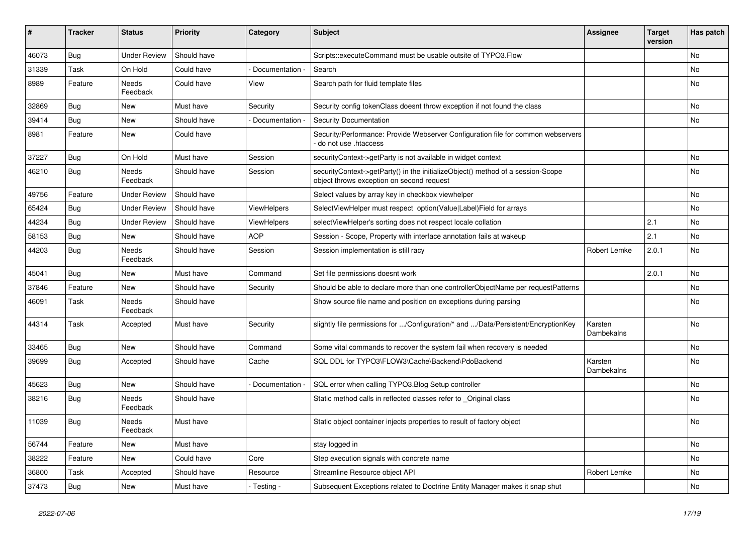| ∦     | <b>Tracker</b> | <b>Status</b>       | <b>Priority</b> | Category           | <b>Subject</b>                                                                                                               | Assignee              | <b>Target</b><br>version | Has patch |
|-------|----------------|---------------------|-----------------|--------------------|------------------------------------------------------------------------------------------------------------------------------|-----------------------|--------------------------|-----------|
| 46073 | Bug            | <b>Under Review</b> | Should have     |                    | Scripts::executeCommand must be usable outsite of TYPO3.Flow                                                                 |                       |                          | <b>No</b> |
| 31339 | Task           | On Hold             | Could have      | Documentation -    | Search                                                                                                                       |                       |                          | <b>No</b> |
| 8989  | Feature        | Needs<br>Feedback   | Could have      | View               | Search path for fluid template files                                                                                         |                       |                          | <b>No</b> |
| 32869 | Bug            | New                 | Must have       | Security           | Security config tokenClass doesnt throw exception if not found the class                                                     |                       |                          | <b>No</b> |
| 39414 | Bug            | New                 | Should have     | Documentation -    | <b>Security Documentation</b>                                                                                                |                       |                          | No        |
| 8981  | Feature        | New                 | Could have      |                    | Security/Performance: Provide Webserver Configuration file for common webservers<br>do not use .htaccess                     |                       |                          |           |
| 37227 | <b>Bug</b>     | On Hold             | Must have       | Session            | securityContext->getParty is not available in widget context                                                                 |                       |                          | <b>No</b> |
| 46210 | <b>Bug</b>     | Needs<br>Feedback   | Should have     | Session            | securityContext->getParty() in the initializeObject() method of a session-Scope<br>object throws exception on second request |                       |                          | <b>No</b> |
| 49756 | Feature        | Under Review        | Should have     |                    | Select values by array key in checkbox viewhelper                                                                            |                       |                          | <b>No</b> |
| 65424 | <b>Bug</b>     | <b>Under Review</b> | Should have     | ViewHelpers        | SelectViewHelper must respect option(Value Label)Field for arrays                                                            |                       |                          | <b>No</b> |
| 44234 | Bug            | <b>Under Review</b> | Should have     | <b>ViewHelpers</b> | selectViewHelper's sorting does not respect locale collation                                                                 |                       | 2.1                      | <b>No</b> |
| 58153 | Bug            | New                 | Should have     | <b>AOP</b>         | Session - Scope, Property with interface annotation fails at wakeup                                                          |                       | 2.1                      | No        |
| 44203 | Bug            | Needs<br>Feedback   | Should have     | Session            | Session implementation is still racy                                                                                         | Robert Lemke          | 2.0.1                    | <b>No</b> |
| 45041 | Bug            | New                 | Must have       | Command            | Set file permissions doesnt work                                                                                             |                       | 2.0.1                    | No        |
| 37846 | Feature        | New                 | Should have     | Security           | Should be able to declare more than one controllerObjectName per requestPatterns                                             |                       |                          | <b>No</b> |
| 46091 | Task           | Needs<br>Feedback   | Should have     |                    | Show source file name and position on exceptions during parsing                                                              |                       |                          | <b>No</b> |
| 44314 | Task           | Accepted            | Must have       | Security           | slightly file permissions for /Configuration/* and /Data/Persistent/EncryptionKey                                            | Karsten<br>Dambekalns |                          | <b>No</b> |
| 33465 | <b>Bug</b>     | <b>New</b>          | Should have     | Command            | Some vital commands to recover the system fail when recovery is needed                                                       |                       |                          | No        |
| 39699 | <b>Bug</b>     | Accepted            | Should have     | Cache              | SQL DDL for TYPO3\FLOW3\Cache\Backend\PdoBackend                                                                             | Karsten<br>Dambekalns |                          | <b>No</b> |
| 45623 | Bug            | <b>New</b>          | Should have     | Documentation      | SQL error when calling TYPO3. Blog Setup controller                                                                          |                       |                          | <b>No</b> |
| 38216 | Bug            | Needs<br>Feedback   | Should have     |                    | Static method calls in reflected classes refer to Original class                                                             |                       |                          | No        |
| 11039 | Bug            | Needs<br>Feedback   | Must have       |                    | Static object container injects properties to result of factory object                                                       |                       |                          | <b>No</b> |
| 56744 | Feature        | New                 | Must have       |                    | stay logged in                                                                                                               |                       |                          | No        |
| 38222 | Feature        | New                 | Could have      | Core               | Step execution signals with concrete name                                                                                    |                       |                          | No        |
| 36800 | Task           | Accepted            | Should have     | Resource           | Streamline Resource object API                                                                                               | Robert Lemke          |                          | No        |
| 37473 | <b>Bug</b>     | New                 | Must have       | - Testing -        | Subsequent Exceptions related to Doctrine Entity Manager makes it snap shut                                                  |                       |                          | No        |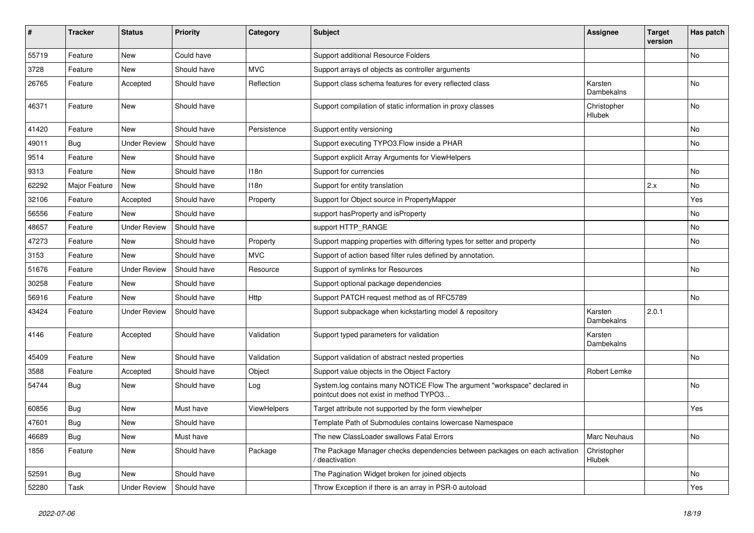| $\pmb{\#}$ | <b>Tracker</b> | <b>Status</b>       | <b>Priority</b> | Category    | <b>Subject</b>                                                                                                       | <b>Assignee</b>              | <b>Target</b><br>version | Has patch |
|------------|----------------|---------------------|-----------------|-------------|----------------------------------------------------------------------------------------------------------------------|------------------------------|--------------------------|-----------|
| 55719      | Feature        | <b>New</b>          | Could have      |             | Support additional Resource Folders                                                                                  |                              |                          | No        |
| 3728       | Feature        | New                 | Should have     | <b>MVC</b>  | Support arrays of objects as controller arguments                                                                    |                              |                          |           |
| 26765      | Feature        | Accepted            | Should have     | Reflection  | Support class schema features for every reflected class                                                              | Karsten<br>Dambekalns        |                          | No        |
| 46371      | Feature        | New                 | Should have     |             | Support compilation of static information in proxy classes                                                           | Christopher<br><b>Hlubek</b> |                          | No        |
| 41420      | Feature        | New                 | Should have     | Persistence | Support entity versioning                                                                                            |                              |                          | No        |
| 49011      | <b>Bug</b>     | <b>Under Review</b> | Should have     |             | Support executing TYPO3. Flow inside a PHAR                                                                          |                              |                          | No        |
| 9514       | Feature        | New                 | Should have     |             | Support explicit Array Arguments for ViewHelpers                                                                     |                              |                          |           |
| 9313       | Feature        | New                 | Should have     | 118n        | Support for currencies                                                                                               |                              |                          | No        |
| 62292      | Major Feature  | New                 | Should have     | 118n        | Support for entity translation                                                                                       |                              | 2.x                      | No        |
| 32106      | Feature        | Accepted            | Should have     | Property    | Support for Object source in PropertyMapper                                                                          |                              |                          | Yes       |
| 56556      | Feature        | <b>New</b>          | Should have     |             | support has Property and is Property                                                                                 |                              |                          | No        |
| 48657      | Feature        | <b>Under Review</b> | Should have     |             | support HTTP_RANGE                                                                                                   |                              |                          | No        |
| 47273      | Feature        | New                 | Should have     | Property    | Support mapping properties with differing types for setter and property                                              |                              |                          | No        |
| 3153       | Feature        | New                 | Should have     | <b>MVC</b>  | Support of action based filter rules defined by annotation.                                                          |                              |                          |           |
| 51676      | Feature        | <b>Under Review</b> | Should have     | Resource    | Support of symlinks for Resources                                                                                    |                              |                          | No        |
| 30258      | Feature        | New                 | Should have     |             | Support optional package dependencies                                                                                |                              |                          |           |
| 56916      | Feature        | <b>New</b>          | Should have     | Http        | Support PATCH request method as of RFC5789                                                                           |                              |                          | No        |
| 43424      | Feature        | <b>Under Review</b> | Should have     |             | Support subpackage when kickstarting model & repository                                                              | Karsten<br>Dambekalns        | 2.0.1                    |           |
| 4146       | Feature        | Accepted            | Should have     | Validation  | Support typed parameters for validation                                                                              | Karsten<br>Dambekalns        |                          |           |
| 45409      | Feature        | New                 | Should have     | Validation  | Support validation of abstract nested properties                                                                     |                              |                          | No        |
| 3588       | Feature        | Accepted            | Should have     | Object      | Support value objects in the Object Factory                                                                          | Robert Lemke                 |                          |           |
| 54744      | <b>Bug</b>     | New                 | Should have     | Log         | System.log contains many NOTICE Flow The argument "workspace" declared in<br>pointcut does not exist in method TYPO3 |                              |                          | No        |
| 60856      | <b>Bug</b>     | New                 | Must have       | ViewHelpers | Target attribute not supported by the form viewhelper                                                                |                              |                          | Yes       |
| 47601      | <b>Bug</b>     | New                 | Should have     |             | Template Path of Submodules contains lowercase Namespace                                                             |                              |                          |           |
| 46689      | Bug            | New                 | Must have       |             | The new ClassLoader swallows Fatal Errors                                                                            | Marc Neuhaus                 |                          | No        |
| 1856       | Feature        | New                 | Should have     | Package     | The Package Manager checks dependencies between packages on each activation<br>deactivation                          | Christopher<br>Hlubek        |                          |           |
| 52591      | Bug            | New                 | Should have     |             | The Pagination Widget broken for joined objects                                                                      |                              |                          | No        |
| 52280      | Task           | <b>Under Review</b> | Should have     |             | Throw Exception if there is an array in PSR-0 autoload                                                               |                              |                          | Yes       |